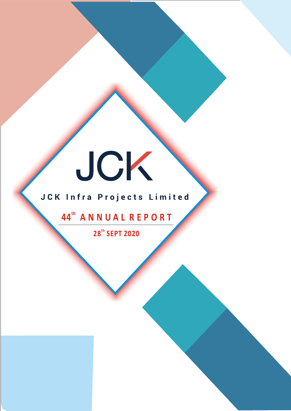# JCK

# JCK Infra Projects Limited

# **th 44 A N N U A L R E P O R T**

**th 28 SEPT 2020**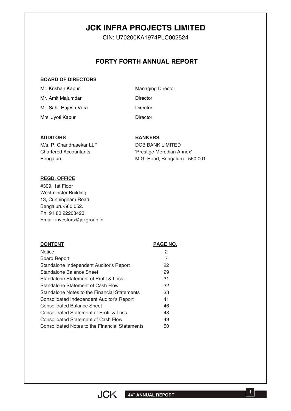# **JCK INFRA PROJECTS LIMITED**

CIN: U70200KA1974PLC002524

## **FORTY FORTH ANNUAL REPORT**

#### **BOARD OF DIRECTORS**

| Mr. Krishan Kapur     | <b>Managing Director</b> |
|-----------------------|--------------------------|
| Mr. Amit Majumdar     | Director                 |
| Mr. Sahil Rajesh Vora | Director                 |
| Mrs. Jyoti Kapur      | Director                 |

#### **AUDITORS**

M/s. P. Chandrasekar LLP Chartered Accountants **Bengaluru** 

#### **BANKERS**

DCB BANK LIMITED 'Prestige Meredian Annex' M.G. Road, Bengaluru - 560 001

#### **REGD. OFFICE**

#309, 1st Floor Westminster Building 13, Cunningham Road Bengaluru-560 052. Ph: 91 80 22203423 Email: investors@jckgroup.in

#### **CONTENT CONTENT PAGE NO. Notice** Board Report Standalone Independent Auditor's Report Standalone Balance Sheet Standalone Statement of Profit & Loss Standalone Statement of Cash Flow Standalone Notes to the Financial Statements Consolidated Independent Auditor's Report Consolidated Balance Sheet Consolidated Statement of Profit & Loss Consolidated Statement of Cash Flow Consolidated Notes to the Financial Statements 2 7 22 29 31 32 33 41 46 48 49 50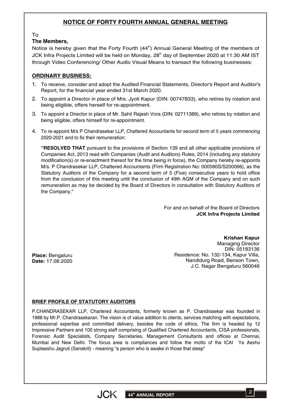## **NOTICE OF FORTY FOURTH ANNUAL GENERAL MEETING**

To

## **The Members,**

Notice is hereby given that the Forty Fourth  $(44<sup>th</sup>)$  Annual General Meeting of the members of JCK Infra Projects Limited will be held on Monday, 28<sup>th</sup> day of September 2020 at 11.30 AM IST through Video Conferencing/ Other Audio Visual Means to transact the following businesses:

## **ORDINARY BUSINESS:**

- 1. To receive, consider and adopt the Audited Financial Statements, Director's Report and Auditor's Report, for the financial year ended 31st March 2020.
- 2. To appoint a Director in place of Mrs. Jyoti Kapur (DIN: 00747833), who retires by rotation and being eligible, offers herself for re-appointment.
- 3. To appoint a Director in place of Mr. Sahil Rajesh Vora (DIN: 02711389), who retires by rotation and being eligible, offers himself for re-appointment.
- 4. To re-appoint M/s P Chandrasekar LLP, Chattered Accountants for second term of 5 years commencing 2020-2021 and to fix their remuneration:

**"RESOLVED THAT** pursuant to the provisions of Section 139 and all other applicable provisions of Companies Act, 2013 read with Companies (Audit and Auditors) Rules, 2014 (including any statutory modification(s) or re-enactment thereof for the time being in force), the Company hereby re-appoints M/s. P Chandrasekar LLP, Chattered Accountants (Firm Registration No: 000580S/S200066), as the Statutory Auditors of the Company for a second term of 5 (Five) consecutive years to hold office from the conclusion of this meeting until the conclusion of 49th AGM of the Company and on such remuneration as may be decided by the Board of Directors in consultation with Statutory Auditors of the Company."

> For and on behalf of the Board of Directors **JCK Infra Projects Limited**

**Place:** Bengaluru **Date:** 17.08.2020

**Krishan Kapur** Managing Director DIN: 05183136 Residence: No. 132-134, Kapur Villa, Nandidurg Road, Benson Town, J.C. Nagar Bengaluru 560046

## **BRIEF PROFILE OF STATUTORY AUDITORS**

P.CHANDRASEKAR LLP, Chartered Accountants, formerly known as P. Chandrasekar was founded in 1988 by Mr.P. Chandrasekaran. The vision is of value addition to clients, services matching with expectations, professional expertise and committed delivery, besides the code of ethics. The firm is headed by 12 Impressive Partners and 100 strong staff comprising of Qualified Chartered Accountants, CISA professionals, Forensic Audit Specialists, Company Secretaries, Management Consultants and offices at Chennai, Mumbai and New Delhi. The focus area is compliances and follow the motto of the ICAI Ya Aeshu Suptaeshu Jagruti (Sanskrit) - meaning "a person who is awake in those that sleep"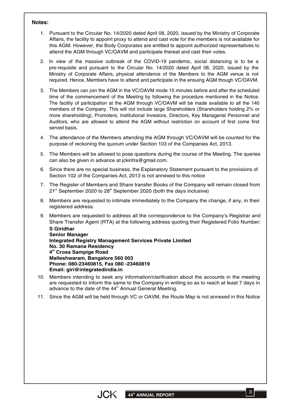#### **Notes:**

- 1. Pursuant to the Circular No. 14/2020 dated April 08, 2020, issued by the Ministry of Corporate Affairs, the facility to appoint proxy to attend and cast vote for the members is not available for this AGM. However, the Body Corporates are entitled to appoint authorized representatives to attend the AGM through VC/OAVM and participate thereat and cast their votes.
- 2. In view of the massive outbreak of the COVID-19 pandemic, social distancing is to be a pre-requisite and pursuant to the Circular No. 14/2020 dated April 08, 2020, issued by the Ministry of Corporate Affairs, physical attendance of the Members to the AGM venue is not required. Hence, Members have to attend and participate in the ensuing AGM though VC/OAVM.
- 3. The Members can join the AGM in the VC/OAVM mode 15 minutes before and after the scheduled time of the commencement of the Meeting by following the procedure mentioned in the Notice. The facility of participation at the AGM through VC/OAVM will be made available to all the 140 members of the Company. This will not include large Shareholders (Shareholders holding 2% or more shareholding), Promoters, Institutional Investors, Directors, Key Managerial Personnel and Auditors, who are allowed to attend the AGM without restriction on account of first come first served basis.
- 4. The attendance of the Members attending the AGM through VC/OAVM will be counted for the purpose of reckoning the quorum under Section 103 of the Companies Act, 2013.
- 5. The Members will be allowed to pose questions during the course of the Meeting. The queries can also be given in advance at jckinfra@gmail.com.
- 6. Since there are no special business, the Explanatory Statement pursuant to the provisions of Section 102 of the Companies Act, 2013 is not annexed to this notice
- 7. The Register of Members and Share transfer Books of the Company will remain closed from  $21<sup>st</sup>$  September 2020 to 28<sup>th</sup> September 2020 (both the days inclusive)
- 8. Members are requested to intimate immediately to the Company the change, if any, in their registered address.
- 9. Members are requested to address all the correspondence to the Company's Registrar and Share Transfer Agent (RTA) at the following address quoting their Registered Folio Number:

**S Giridhar Senior Manager Integrated Registry Management Services Private Limited No. 30 Ramana Residency th 4 Cross Sampige Road Malleshwaram, Bangalore 560 003 Phone: 080-23460815, Fax 080 -23460819 Email: giri@integratedindia.in**

- 10. Members intending to seek any information/clarification about the accounts in the meeting are requested to inform the same to the Company in writing so as to reach at least 7 days in advance to the date of the 44<sup>th</sup> Annual General Meeting.
- 11. Since the AGM will be held through VC or OAVM, the Route Map is not annexed in this Notice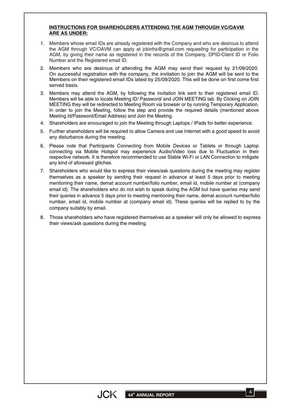#### **INSTRUCTIONS FOR SHAREHOLDERS ATTENDING THE AGM THROUGH VC/OAVM ARE AS UNDER:**

- 1. Members whose email IDs are already registered with the Company and who are desirous to attend the AGM through VC/OAVM can apply at jckinfra@gmail.com requesting for participation in the AGM, by giving their name as registered in the records of the Company, DPID-Client ID or Folio Number and the Registered email ID.
- 2. Members who are desirous of attending the AGM may send their request by 21/09/2020. On successful registration with the company, the invitation to join the AGM will be sent to the Members on their registered email IDs latest by 25/09/2020. This will be done on first come first served basis.
- 3. Members may attend the AGM, by following the invitation link sent to their registered email ID. Members will be able to locate Meeting ID/ Password/ and JOIN MEETING tab. By Clicking on JOIN MEETING they will be redirected to Meeting Room via browser or by running Temporary Application. In order to join the Meeting, follow the step and provide the required details (mentioned above Meeting Id/Password/Email Address) and Join the Meeting.
- 4. Shareholders are encouraged to join the Meeting through Laptops / IPads for better experience.
- 5. Further shareholders will be required to allow Camera and use Internet with a good speed to avoid any disturbance during the meeting.
- 6. Please note that Participants Connecting from Mobile Devices or Tablets or through Laptop connecting via Mobile Hotspot may experience Audio/Video loss due to Fluctuation in their respective network. It is therefore recommended to use Stable Wi-Fi or LAN Connection to mitigate any kind of aforesaid glitches.
- 7. Shareholders who would like to express their views/ask questions during the meeting may register themselves as a speaker by sending their request in advance at least 5 days prior to meeting mentioning their name, demat account number/folio number, email id, mobile number at (company email id). The shareholders who do not wish to speak during the AGM but have queries may send their queries in advance 5 days prior to meeting mentioning their name, demat account number/folio number, email id, mobile number at (company email id). These queries will be replied to by the company suitably by email.
- 8. Those shareholders who have registered themselves as a speaker will only be allowed to express their views/ask questions during the meeting.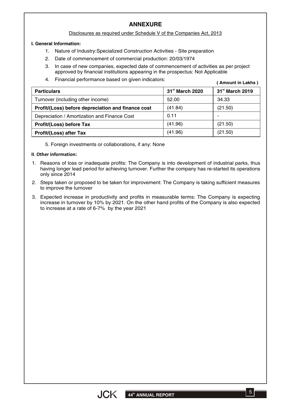## **ANNEXURE**

#### Disclosures as required under Schedule V of the Companies Act, 2013

#### **I. General Information:**

- 1. Nature of Industry: Specialized Construction Activities Site preparation
- Date of commencement of commercial production: 20/03/1974 2.
- 3. In case of new companies, expected date of commencement of activities as per project approved by financial institutions appearing in the prospectus: Not Applicable
- Financial performance based on given indicators: 4.

**( Amount in Lakhs )**

| <b>Particulars</b>                                 | 31 <sup>st</sup> March 2020 | 31 <sup>st</sup> March 2019 |
|----------------------------------------------------|-----------------------------|-----------------------------|
| Turnover (including other income)                  | 52.00                       | 34.33                       |
| Profit/(Loss) before depreciation and finance cost | (41.84)                     | (21.50)                     |
| Depreciation / Amortization and Finance Cost       | 0.11                        |                             |
| <b>Profit/(Loss) before Tax</b>                    | (41.96)                     | (21.50)                     |
| <b>Profit/(Loss) after Tax</b>                     | (41.96)                     | (21.50)                     |

5. Foreign investments or collaborations, if any: None

#### **II***.* **Other information:**

- 1. Reasons of loss or inadequate profits: The Company is into development of industrial parks, thus having longer lead period for achieving turnover. Further the company has re-started its operations only since 2014
- 2. Steps taken or proposed to be taken for improvement: The Company is taking sufficient measures to improve the turnover
- 3. Expected increase in productivity and profits in measurable terms: The Company is expecting increase in turnover by 10% by 2021. On the other hand profits of the Company is also expected to increase at a rate of 6-7% by the year 2021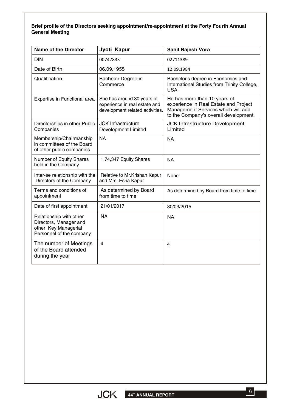#### **Brief profile of the Directors seeking appointment/re-appointment at the Forty Fourth Annual General Meeting**

| <b>Name of the Director</b>                                                                           | Jyoti Kapur                                                                                    | Sahil Rajesh Vora                                                                                                                                    |
|-------------------------------------------------------------------------------------------------------|------------------------------------------------------------------------------------------------|------------------------------------------------------------------------------------------------------------------------------------------------------|
| <b>DIN</b>                                                                                            | 00747833                                                                                       | 02711389                                                                                                                                             |
| Date of Birth                                                                                         | 06.09.1955                                                                                     | 12.09.1984                                                                                                                                           |
| Qualification                                                                                         | Bachelor Degree in<br>Commerce                                                                 | Bachelor's degree in Economics and<br>International Studies from Trinity College,<br>USA.                                                            |
| Expertise in Functional area                                                                          | She has around 30 years of<br>experience in real estate and<br>development related activities. | He has more than 10 years of<br>experience in Real Estate and Project<br>Management Services which will add<br>to the Company's overall development. |
| Directorships in other Public<br>Companies                                                            | <b>JCK Infrastructure</b><br><b>Development Limited</b>                                        | <b>JCK Infrastructure Development</b><br>Limited                                                                                                     |
| Membership/Chairmanship<br>in committees of the Board<br>of other public companies                    | <b>NA</b>                                                                                      | <b>NA</b>                                                                                                                                            |
| Number of Equity Shares<br>held in the Company                                                        | 1,74,347 Equity Shares                                                                         | <b>NA</b>                                                                                                                                            |
| Inter-se relationship with the<br>Directors of the Company                                            | Relative to Mr. Krishan Kapur<br>and Mrs. Esha Kapur                                           | None                                                                                                                                                 |
| Terms and conditions of<br>appointment                                                                | As determined by Board<br>from time to time                                                    | As determined by Board from time to time                                                                                                             |
| Date of first appointment                                                                             | 21/01/2017                                                                                     | 30/03/2015                                                                                                                                           |
| Relationship with other<br>Directors, Manager and<br>other Key Managerial<br>Personnel of the company | <b>NA</b>                                                                                      | <b>NA</b>                                                                                                                                            |
| The number of Meetings<br>of the Board attended<br>during the year                                    | $\overline{4}$                                                                                 | $\overline{4}$                                                                                                                                       |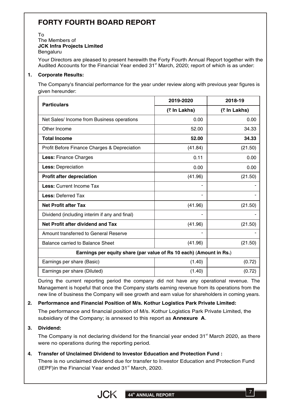# **FORTY FOURTH BOARD REPORT**

#### To The Members of **JCK Infra Projects Limited Bengaluru**

Your Directors are pleased to present herewith the Forty Fourth Annual Report together with the Audited Accounts for the Financial Year ended 31<sup>st</sup> March, 2020; report of which is as under:

#### **1. Corporate Results:**

The Company's financial performance for the year under review along with previous year figures is given hereunder:

| <b>Particulars</b>                                                  | 2019-2020    | 2018-19 |  |
|---------------------------------------------------------------------|--------------|---------|--|
|                                                                     | (₹ In Lakhs) |         |  |
| Net Sales/ Income from Business operations                          | 0.00         | 0.00    |  |
| Other Income                                                        | 52.00        | 34.33   |  |
| <b>Total Income</b>                                                 | 52.00        | 34.33   |  |
| Profit Before Finance Charges & Depreciation                        | (41.84)      | (21.50) |  |
| Less: Finance Charges                                               | 0.11         | 0.00    |  |
| Less: Depreciation                                                  | 0.00         | 0.00    |  |
| <b>Profit after depreciation</b>                                    | (41.96)      | (21.50) |  |
| <b>Less: Current Income Tax</b>                                     |              |         |  |
| <b>Less: Deferred Tax</b>                                           |              |         |  |
| <b>Net Profit after Tax</b>                                         | (41.96)      | (21.50) |  |
| Dividend (including interim if any and final)                       |              |         |  |
| Net Profit after dividend and Tax                                   | (41.96)      | (21.50) |  |
| Amount transferred to General Reserve                               |              |         |  |
| <b>Balance carried to Balance Sheet</b>                             | (41.96)      | (21.50) |  |
| Earnings per equity share (par value of Rs 10 each) (Amount in Rs.) |              |         |  |
| Earnings per share (Basic)                                          | (1.40)       | (0.72)  |  |
| Earnings per share (Diluted)                                        | (1.40)       | (0.72)  |  |

During the current reporting period the company did not have any operational revenue. The Management is hopeful that once the Company starts earning revenue from its operations from the new line of business the Company will see growth and earn value for shareholders in coming years.

## **2. Performance and Financial Position of M/s. Kothur Logistics Park Private Limited:**

The performance and financial position of M/s. Kothur Logistics Park Private Limited, the subsidiary of the Company; is annexed to this report as **Annexure A**.

#### **3. Dividend:**

The Company is not declaring dividend for the financial year ended 31<sup>st</sup> March 2020, as there were no operations during the reporting period.

## **4. Transfer of Unclaimed Dividend to Investor Education and Protection Fund :**

There is no unclaimed dividend due for transfer to Investor Education and Protection Fund (IEPF)in the Financial Year ended 31<sup>st</sup> March, 2020.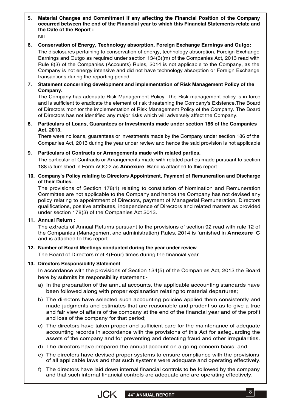**5. Material Changes and Commitment if any affecting the Financial Position of the Company occurred between the end of the Financial year to which this Financial Statements relate and the Date of the Report :**

NIL

**6. Conservation of Energy, Technology absorption, Foreign Exchange Earnings and Outgo:**

The disclosures pertaining to conservation of energy, technology absorption, Foreign Exchange Earnings and Outgo as required under section 134(3)(m) of the Companies Act, 2013 read with Rule 8(3) of the Companies (Accounts) Rules, 2014 is not applicable to the Company, as the Company is not energy intensive and did not have technology absorption or Foreign Exchange transactions during the reporting period

**7. Statement concerning development and implementation of Risk Management Policy of the Company.**

The Company has adequate Risk Management Policy. The Risk management policy is in force and is sufficient to eradicate the element of risk threatening the Company's Existence.The Board of Directors monitor the implementation of Risk Management Policy of the Company. The Board of Directors has not identified any major risks which will adversely affect the Company.

**8. Particulars of Loans, Guarantees or Investments made under section 186 of the Companies Act, 2013.**

There were no loans, guarantees or investments made by the Company under section 186 of the Companies Act, 2013 during the year under review and hence the said provision is not applicable

#### **9. Particulars of Contracts or Arrangements made with related parties.**

The particular of Contracts or Arrangements made with related parties made pursuant to section 188 is furnished in Form AOC-2 as **Annexure B**and is attached to this report.

#### **10. Company's Policy relating to Directors Appointment, Payment of Remuneration and Discharge of their Duties.**

The provisions of Section 178(1) relating to constitution of Nomination and Remuneration Committee are not applicable to the Company and hence the Company has not devised any policy relating to appointment of Directors, payment of Managerial Remuneration, Directors qualifications, positive attributes, independence of Directors and related matters as provided under section 178(3) of the Companies Act 2013.

#### **11. Annual Return :**

The extracts of Annual Returns pursuant to the provisions of section 92 read with rule 12 of the Companies (Management and administration) Rules, 2014 is furnished in **Annexure C** and is attached to this report.

## **12. Number of Board Meetings conducted during the year under review**

The Board of Directors met 4(Four) times during the financial year

## **13. Directors Responsibility Statement**

In accordance with the provisions of Section 134(5) of the Companies Act, 2013 the Board here by submits its responsibility statement:-

- a) In the preparation of the annual accounts, the applicable accounting standards have been followed along with proper explanation relating to material departures;
- b) The directors have selected such accounting policies applied them consistently and made judgments and estimates that are reasonable and prudent so as to give a true and fair view of affairs of the company at the end of the financial year and of the profit and loss of the company for that period;
- c) The directors have taken proper and sufficient care for the maintenance of adequate accounting records in accordance with the provisions of this Act for safeguarding the assets of the company and for preventing and detecting fraud and other irregularities.
- d) The directors have prepared the annual account on a going concern basis; and
- e) The directors have devised proper systems to ensure compliance with the provisions of all applicable laws and that such systems were adequate and operating effectively.
- f) The directors have laid down internal financial controls to be followed by the company and that such internal financial controls are adequate and are operating effectively.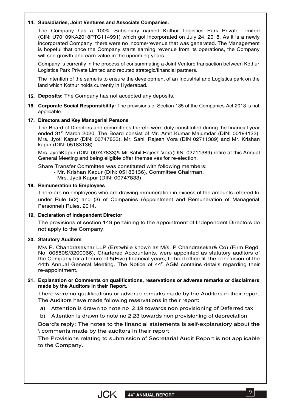#### **14. Subsidiaries, Joint Ventures and Associate Companies.**

The Company has a 100% Subsidiary named Kothur Logistics Park Private Limited (CIN: U70109KA2018PTC114991) which got incorporated on July 24, 2018. As it is a newly incorporated Company, there were no income/revenue that was generated. The Management is hopeful that once the Company starts earning revenue from its operations, the Company will see growth and earn value in the upcoming years.

Company is currently in the process of consummating a Joint Venture transaction between Kothur Logistics Park Private Limited and reputed strategic/financial partners.

The intention of the same is to ensure the development of an Industrial and Logistics park on the land which Kothur holds currently in Hyderabad.

- **15. Deposits:** The Company has not accepted any deposits.
- **16. Corporate Social Responsibility:** The provisions of Section 135 of the Companies Act 2013 is not applicable.

#### **17. Directors and Key Managerial Persons**

The Board of Directors and committees thereto were duly constituted during the financial year ended 31<sup>st</sup> March 2020. The Board consist of Mr. Amit Kumar Majumdar (DIN: 00194123), Mrs. Jyoti Kapur (DIN: 00747833), Mr. Sahil Rajesh Vora (DIN 02711389) and Mr. Krishan kapur (DIN: 05183136).

Mrs. JyotiKapur (DIN: 00747833)& Mr.Sahil Rajesh Vora(DIN: 02711389) retire at this Annual General Meeting and being eligible offer themselves for re-election.

Share Transfer Committee was constituted with following members:

- Mr. Krishan Kapur (DIN: 05183136), Committee Chairman.
- Mrs. Jyoti Kapur (DIN: 00747833).

#### **18. Remuneration to Employees**

There are no employees who are drawing remuneration in excess of the amounts referred to under Rule 5(2) and (3) of Companies (Appointment and Remuneration of Managerial Personnel) Rules, 2014.

#### **19. Declaration of Independent Director**

The provisions of section 149 pertaining to the appointment of Independent Directors do not apply to the Company.

#### **20. Statutory Auditors**

M/s P. Chandrasekhar LLP (Erstwhile known as M/s. P Chandrasekar& Co) (Firm Regd. No. 00580S/3200066), Chartered Accountants, were appointed as statutory auditors of the Company for a tenure of 5(Five) financial years, to hold office till the conclusion of the 44th Annual General Meeting. The Notice of 44<sup>th</sup> AGM contains details regarding their re-appointment.

#### **21. Explanation or Comments on qualifications, reservations or adverse remarks or disclaimers made by the Auditors in their Report.**

There were no qualifications or adverse remarks made by the Auditors in their report. The Auditors have made following reservations in their report:

- a) Attention is drawn to note no 2.19 towards non provisioning of Deferred tax
- Attention is drawn to note no 2.23 towards non provisioning of depreciation b)

Board's reply: The notes to the financial statements is self-explanatory about the \ comments made by the auditors in their report

The Provisions relating to submission of Secretarial Audit Report is not applicable to the Company.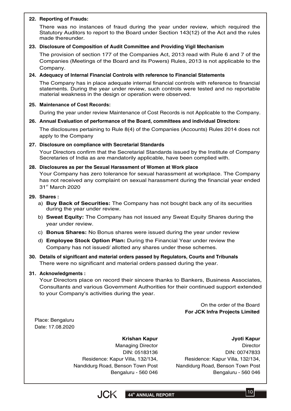#### **22. Reporting of Frauds:**

There was no instances of fraud during the year under review, which required the Statutory Auditors to report to the Board under Section 143(12) of the Act and the rules made thereunder.

#### **23. Disclosure of Composition of Audit Committee and Providing Vigil Mechanism**

The provision of section 177 of the Companies Act, 2013 read with Rule 6 and 7 of the Companies (Meetings of the Board and its Powers) Rules, 2013 is not applicable to the Company.

#### **24. Adequacy of Internal Financial Controls with reference to Financial Statements**

The Company has in place adequate internal financial controls with reference to financial statements. During the year under review, such controls were tested and no reportable material weakness in the design or operation were observed.

#### **25. Maintenance of Cost Records:**

During the year under review Maintenance of Cost Records is not Applicable to the Company.

#### **26. Annual Evaluation of performance of the Board, committees and individual Directors:**

The disclosures pertaining to Rule 8(4) of the Companies (Accounts) Rules 2014 does not apply to the Company

#### **27. Disclosure on compliance with Secretarial Standards**

Your Directors confirm that the Secretarial Standards issued by the Institute of Company Secretaries of India as are mandatorily applicable, have been complied with.

#### **28. Disclosures as per the Sexual Harassment of Women at Work place**

Your Company has zero tolerance for sexual harassment at workplace. The Company has not received any complaint on sexual harassment during the financial year ended 31<sup>st</sup> March 2020

#### **29. Shares :**

- a) **Buy Back of Securities:** The Company has not bought back any of its securities during the year under review.
- b) **Sweat Equity:** The Company has not issued any Sweat Equity Shares during the year under review.
- c) **Bonus Shares:** No Bonus shares were issued during the year under review
- d) **Employee Stock Option Plan:** During the Financial Year under review the Company has not issued/ allotted any shares under these schemes.
- **30. Details of significant and material orders passed by Regulators, Courts and Tribunals** There were no significant and material orders passed during the year.

#### **31. Acknowledgments :**

Your Directors place on record their sincere thanks to Bankers, Business Associates, Consultants and various Government Authorities for their continued support extended to your Company's activities during the year.

> On the order of the Board **For JCK Infra Projects Limited**

Place: Bengaluru Date: 17.08.2020

> **Krishan Kapur** Managing Director DIN: 05183136 Residence: Kapur Villa, 132/134, Nandidurg Road, Benson Town Post Bengaluru - 560 046

**Jyoti Kapur Director** DIN: 00747833 Residence: Kapur Villa, 132/134, Nandidurg Road, Benson Town Post Bengaluru - 560 046

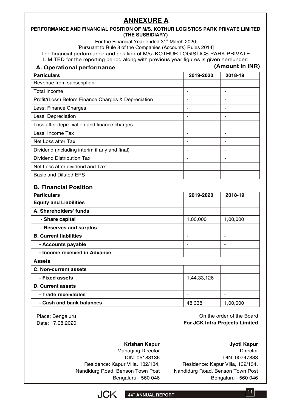# **ANNEXURE A**

#### **PERFORMANCE AND FINANCIAL POSITION OF M/S. KOTHUR LOGISTICS PARK PRIVATE LIMITED (THE SUSBIDIARY)**

For the Financial Year ended 31<sup>st</sup> March 2020

[Pursuant to Rule 8 of the Companies (Accounts) Rules 2014]

The financial performance and position of M/s. KOTHUR LOGISTICS PARK PRIVATE LIMITED for the reporting period along with previous year figures is given hereunder:

| A. Operational performance                          |           | (Amount in INR) |
|-----------------------------------------------------|-----------|-----------------|
| <b>Particulars</b>                                  | 2019-2020 | 2018-19         |
| Revenue from subscription                           |           |                 |
| Total Income                                        |           |                 |
| Profit/(Loss) Before Finance Charges & Depreciation |           |                 |
| Less: Finance Charges                               |           |                 |
| Less: Depreciation                                  |           |                 |
| Loss after depreciation and finance charges         |           |                 |
| Less: Income Tax                                    |           |                 |
| Net Loss after Tax                                  |           |                 |
| Dividend (including interim if any and final)       |           |                 |
| Dividend Distribution Tax                           |           |                 |
| Net Loss after dividend and Tax                     |           |                 |
| <b>Basic and Diluted EPS</b>                        |           |                 |

#### **B. Financial Position**

| <b>Particulars</b>            | 2019-2020   | 2018-19  |
|-------------------------------|-------------|----------|
| <b>Equity and Liabilities</b> |             |          |
| A. Shareholders' funds        |             |          |
| - Share capital               | 1,00,000    | 1,00,000 |
| - Reserves and surplus        |             |          |
| <b>B. Current liabilities</b> |             |          |
| - Accounts payable            | ۰           | ٠        |
| - Income received in Advance  |             |          |
| <b>Assets</b>                 |             |          |
| <b>C. Non-current assets</b>  |             |          |
| - Fixed assets                | 1,44,33,126 |          |
| <b>D. Current assets</b>      |             |          |
| - Trade receivables           |             |          |
| - Cash and bank balances      | 48,338      | 1,00,000 |

Place: Bengaluru Date: 17.08.2020

On the order of the Board **For JCK Infra Projects Limited**

#### **Krishan Kapur**

Managing Director DIN: 05183136 Residence: Kapur Villa, 132/134, Nandidurg Road, Benson Town Post Bengaluru - 560 046



**Director** DIN: 00747833 Residence: Kapur Villa, 132/134, Nandidurg Road, Benson Town Post Bengaluru - 560 046



11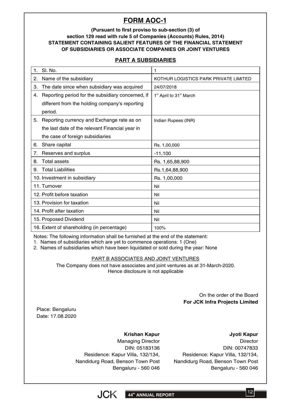# **FORM AOC-1**

#### **(Pursuant to first proviso to sub-section (3) of section 129 read with rule 5 of Companies (Accounts) Rules, 2014) STATEMENT CONTAINING SALIENT FEATURES OF THE FINANCIAL STATEMENT OF SUBSIDIARIES OR ASSOCIATE COMPANIES OR JOINT VENTURES**

## **PART A SUBSIDIARIES**

| $\mathbf 1$ . | SI. No.                                           | 1                                               |
|---------------|---------------------------------------------------|-------------------------------------------------|
| 2.            | Name of the subsidiary                            | KOTHUR LOGISTICS PARK PRIVATE LIMITED           |
| З.            | The date since when subsidiary was acquired       | 24/07/2018                                      |
| 4.            | Reporting period for the subsidiary concerned, if | 1 <sup>st</sup> April to 31 <sup>st</sup> March |
|               | different from the holding company's reporting    |                                                 |
|               | period.                                           |                                                 |
| 5.            | Reporting currency and Exchange rate as on        | Indian Rupees (INR)                             |
|               | the last date of the relevant Financial year in   |                                                 |
|               | the case of foreign subsidiaries                  |                                                 |
| 6.            | Share capital                                     | Rs. 1,00,000                                    |
| 7.            | Reserves and surplus                              | $-11,100$                                       |
| 8.            | <b>Total assets</b>                               | Rs. 1,65,88,900                                 |
| 9.            | <b>Total Liabilities</b>                          | Rs.1,64,88,900                                  |
|               | 10. Investment in subsidiary                      | Rs. 1,00,000                                    |
|               | 11. Turnover                                      | Nil                                             |
|               | 12. Profit before taxation                        | Nil                                             |
|               | 13. Provision for taxation                        | Nil                                             |
|               | 14. Profit after taxation                         | Nil                                             |
|               | 15. Proposed Dividend                             | Nil                                             |
|               | 16. Extent of shareholding (in percentage)        | 100%                                            |

Notes: The following information shall be furnished at the end of the statement:

1. Names of subsidiaries which are yet to commence operations: 1 (One)

2. Names of subsidiaries which have been liquidated or sold during the year: None

#### PART B ASSOCIATES AND JOINT VENTURES

The Company does not have associates and joint ventures as at 31-March-2020. Hence disclosure is not applicable

#### On the order of the Board **For JCK Infra Projects Limited**

Place: Bengaluru Date: 17.08.2020

## **Krishan Kapur**

Managing Director DIN: 05183136 Residence: Kapur Villa, 132/134, Nandidurg Road, Benson Town Post Bengaluru - 560 046

**Jyoti Kapur Director** DIN: 00747833 Residence: Kapur Villa, 132/134, Nandidurg Road, Benson Town Post Bengaluru - 560 046

12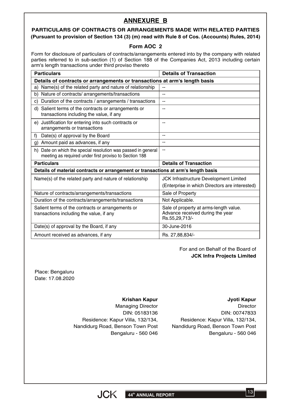## **ANNEXURE B**

## **PARTICULARS OF CONTRACTS OR ARRANGEMENTS MADE WITH RELATED PARTIES (Pursuant to provision of Section 134 (3) (m) read with Rule 8 of Cos. (Accounts) Rules, 2014)**

#### **Form AOC 2**

Form for disclosure of particulars of contracts/arrangements entered into by the company with related parties referred to in sub-section (1) of Section 188 of the Companies Act, 2013 including certain arm's length transactions under third proviso thereto

| <b>Particulars</b>                                                                                                      | <b>Details of Transaction</b>                                                                |  |
|-------------------------------------------------------------------------------------------------------------------------|----------------------------------------------------------------------------------------------|--|
| Details of contracts or arrangements or transactions at arm's length basis                                              |                                                                                              |  |
| Name(s) of the related party and nature of relationship<br>a)                                                           | $-$                                                                                          |  |
| Nature of contracts/ arrangements/transactions<br>b)                                                                    | --                                                                                           |  |
| Duration of the contracts / arrangements / transactions<br>C)                                                           | --                                                                                           |  |
| d) Salient terms of the contracts or arrangements or<br>transactions including the value, if any                        | $-$                                                                                          |  |
| e) Justification for entering into such contracts or<br>arrangements or transactions                                    | --                                                                                           |  |
| Date(s) of approval by the Board<br>f                                                                                   | --                                                                                           |  |
| Amount paid as advances, if any<br>g)                                                                                   | --                                                                                           |  |
| h) Date on which the special resolution was passed in general<br>meeting as required under first proviso to Section 188 | $-$                                                                                          |  |
| <b>Particulars</b>                                                                                                      | <b>Details of Transaction</b>                                                                |  |
| Details of material contracts or arrangement or transactions at arm's length basis                                      |                                                                                              |  |
| Name(s) of the related party and nature of relationship                                                                 | JCK Infrastructure Development Limited                                                       |  |
|                                                                                                                         | (Enterprise in which Directors are interested)                                               |  |
| Nature of contracts/arrangements/transactions                                                                           | Sale of Property                                                                             |  |
| Duration of the contracts/arrangements/transactions                                                                     | Not Applicable.                                                                              |  |
| Salient terms of the contracts or arrangements or<br>transactions including the value, if any                           | Sale of property at arms-length value.<br>Advance received during the year<br>Rs.55,29,713/- |  |
| Date(s) of approval by the Board, if any                                                                                | 30-June-2016                                                                                 |  |
| Amount received as advances, if any                                                                                     | Rs. 27,88,834/-                                                                              |  |

#### For and on Behalf of the Board of **JCK Infra Projects Limited**

Place: Bengaluru Date: 17.08.2020

#### **Krishan Kapur**

Managing Director DIN: 05183136 Residence: Kapur Villa, 132/134, Nandidurg Road, Benson Town Post Bengaluru - 560 046 **Jyoti Kapur**

**Director** DIN: 00747833 Residence: Kapur Villa, 132/134, Nandidurg Road, Benson Town Post Bengaluru - 560 046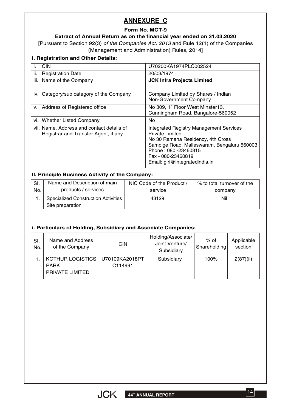## **ANNEXURE C**

## **Form No. MGT-9**

## **Extract of Annual Return as on the financial year ended on 31.03.2020**

[Pursuant to Section 92(3) *of the Companies Act, 2013* and Rule 12(1) of the Companies (Management and Administration) Rules, 2014]

#### **I. Registration and Other Details:**

|      | <b>CIN</b>                                                                        | U70200KA1974PLC002524                                                                                                                                                                                                                 |
|------|-----------------------------------------------------------------------------------|---------------------------------------------------------------------------------------------------------------------------------------------------------------------------------------------------------------------------------------|
| ii.  | <b>Registration Date</b>                                                          | 20/03/1974                                                                                                                                                                                                                            |
| iii. | Name of the Company                                                               | <b>JCK Infra Projects Limited</b>                                                                                                                                                                                                     |
|      | iv. Category/sub category of the Company                                          | Company Limited by Shares / Indian<br>Non-Government Company                                                                                                                                                                          |
|      | v. Address of Registered office                                                   | No 309, 1 <sup>st</sup> Floor West Minster13,<br>Cunningham Road, Bangalore-560052                                                                                                                                                    |
|      | vi. Whether Listed Company                                                        | No                                                                                                                                                                                                                                    |
|      | vii. Name, Address and contact details of<br>Registrar and Transfer Agent, if any | <b>Integrated Registry Management Services</b><br>Private Limited<br>No 30 Ramana Residency, 4th Cross<br>Sampige Road, Malleswaram, Bengaluru 560003<br>Phone: 080 -23460815<br>Fax - 080-23460819<br>Email: giri@integratedindia.in |

#### **II. Principle Business Activity of the Company:**

| SI. | Name and Description of main               | NIC Code of the Product / | % to total turnover of the |
|-----|--------------------------------------------|---------------------------|----------------------------|
| No. | products / services                        | service                   | company                    |
|     | <b>Specialized Construction Activities</b> | 43129                     | Nil                        |
|     | Site preparation                           |                           |                            |

#### **i. Particulars of Holding, Subsidiary and Associate Companies:**

| SI.<br>No. | Name and Address<br>of the Company     | <b>CIN</b>                | Holding/Associate/<br>Joint Venture/<br>Subsidiary | $%$ of<br>Shareholding | Applicable<br>section |
|------------|----------------------------------------|---------------------------|----------------------------------------------------|------------------------|-----------------------|
|            | <b>KOTHUR LOGISTICS</b><br><b>PARK</b> | U70109KA2018PT<br>C114991 | Subsidiary                                         | 100%                   | 2(87)(ii)             |
|            | PRIVATE LIMITED                        |                           |                                                    |                        |                       |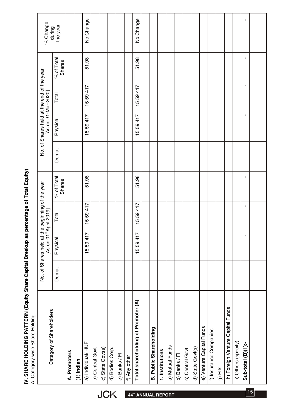| IV. SHARE HOLDING PATTERN (Equity Share Capital Breakup as percentage of Total Equit |                                |  |
|--------------------------------------------------------------------------------------|--------------------------------|--|
|                                                                                      | A. Category-wise Share Holding |  |

|                                | Category of Shareholders           |       | No. of Shares held at the beginning of the year<br>[As on 01 <sup>st</sup> April 2019] |         |                      |       | [As on 31-Mar-2020] | No. of Shares held at the end of the year |                      | % Change<br>during |
|--------------------------------|------------------------------------|-------|----------------------------------------------------------------------------------------|---------|----------------------|-------|---------------------|-------------------------------------------|----------------------|--------------------|
|                                |                                    | Demat | Physical                                                                               | Total   | % of Total<br>Shares | Demat | Physical            | Total                                     | % of Total<br>Shares | the year           |
|                                | A. Promoters                       |       |                                                                                        |         |                      |       |                     |                                           |                      |                    |
|                                | $(1)$ Indian                       |       |                                                                                        |         |                      |       |                     |                                           |                      |                    |
|                                | a) Individual/HUF                  |       | 15 59 417                                                                              | 1559417 | 51.98                |       | 1559417             | 1559417                                   | 51.98                | No Change          |
|                                | b) Central Govt                    |       |                                                                                        |         |                      |       |                     |                                           |                      |                    |
|                                | c) State Govt(s)                   |       |                                                                                        |         |                      |       |                     |                                           |                      |                    |
| <b>JCK</b>                     | d) Bodies Corp.                    |       |                                                                                        |         |                      |       |                     |                                           |                      |                    |
|                                | e) Banks / Fl                      |       |                                                                                        |         |                      |       |                     |                                           |                      |                    |
|                                | f) Any other                       |       |                                                                                        |         |                      |       |                     |                                           |                      |                    |
| 44 <sup>th</sup> ANNUAL REPORT | Total shareholding of Promoter (A) |       | 15 59 417                                                                              | 1559417 | 51.98                |       | 1559417             | 1559417                                   | 51.98                | No Change          |
|                                |                                    |       |                                                                                        |         |                      |       |                     |                                           |                      |                    |
|                                | <b>B. Public Shareholding</b>      |       |                                                                                        |         |                      |       |                     |                                           |                      |                    |
|                                | 1. Institutions                    |       |                                                                                        |         |                      |       |                     |                                           |                      |                    |
|                                | a) Mutual Funds                    |       |                                                                                        |         |                      |       |                     |                                           |                      |                    |
|                                | b) Banks / Fl                      |       |                                                                                        |         |                      |       |                     |                                           |                      |                    |
|                                | c) Central Govt                    |       |                                                                                        |         |                      |       |                     |                                           |                      |                    |
|                                | d) State Govt(s)                   |       |                                                                                        |         |                      |       |                     |                                           |                      |                    |
|                                | e) Venture Capital Funds           |       |                                                                                        |         |                      |       |                     |                                           |                      |                    |
|                                | f) Insurance Companies             |       |                                                                                        |         |                      |       |                     |                                           |                      |                    |
|                                | $g)$ Fils                          |       |                                                                                        |         |                      |       |                     |                                           |                      |                    |
|                                | h) Foreign Venture Capital Funds   |       |                                                                                        |         |                      |       |                     |                                           |                      |                    |
|                                | i) Others (specify)                |       |                                                                                        |         |                      |       |                     |                                           |                      |                    |
|                                | Sub-total (B)(1):-                 |       | J.                                                                                     | J,      | J.                   |       | J.                  | $\blacksquare$                            | J.                   | $\blacksquare$     |
| 15                             |                                    |       |                                                                                        |         |                      |       |                     |                                           |                      |                    |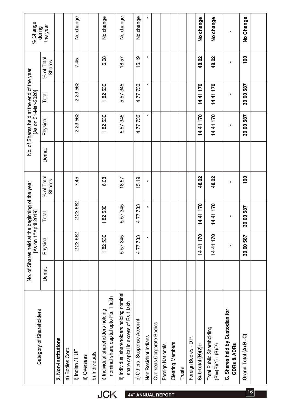| % Change<br>No. of Shares held at the end of the year<br>[As on 31-Mar-2020]                                      | the year<br>during<br>% of Total<br>Shares<br>Total<br>Physical<br>Demat<br>% of Total<br><b>Shares</b><br>Total |                     |                 | No change<br>7.45<br>223562<br>223562<br>7.45<br>223562 |              |                | No change<br>6.08<br>182530<br>182530<br>6.08<br>182530                                     | No change<br>18.57<br>557345<br>557345<br>18.57<br>557345                                     | No change<br>15.19<br>477733<br>77733<br>$\overline{4}$<br>15.19<br>477733 | $\blacksquare$<br>$\blacksquare$ |                           |                   |                         |        |                         | No change<br>48.02<br>1441170<br>1441170<br>48.02<br>1441170 | No change<br>48.02<br>1441170<br>1441170<br>48.02<br>1441170 |                                                | No Change<br>100<br>30 00 587<br>30 00 587<br>100<br>30 00 587 |    |
|-------------------------------------------------------------------------------------------------------------------|------------------------------------------------------------------------------------------------------------------|---------------------|-----------------|---------------------------------------------------------|--------------|----------------|---------------------------------------------------------------------------------------------|-----------------------------------------------------------------------------------------------|----------------------------------------------------------------------------|----------------------------------|---------------------------|-------------------|-------------------------|--------|-------------------------|--------------------------------------------------------------|--------------------------------------------------------------|------------------------------------------------|----------------------------------------------------------------|----|
| No. of Shares held at the beginning of the year<br>[As on 1 <sup>st</sup> April 2019]<br>Category of Shareholders | Physical<br>Demat                                                                                                | 2. Non-Institutions | a) Bodies Corp. | 223562<br>i) Indian / HUF                               | ii) Overseas | b) Individuals | 182530<br>nominal share capital upto Rs. 1 lakh<br>i) Individual shareholders holding<br>CK | 557345<br>ii) Individual shareholders holding nominal<br>share capital in excess of Rs 1 lakh | 477733<br>c) Others-Suspense Account<br>44 <sup>th</sup> ANNUAL REPORT     | Non Resident Indians             | Overseas Corporate Bodies | Foreign Nationals | <b>Clearing Members</b> | Trusts | Œ<br>Foreign Bodies - D | 1441170<br>Sub-total (B)(2):-                                | 1441170<br>Total Public Shareholding<br>$(B)=(B)(1)+(B)(2)$  | C. Shares held by Custodian for<br>GDRs & ADRs | 30 00 587<br>Grand Total (A+B+C)                               | 16 |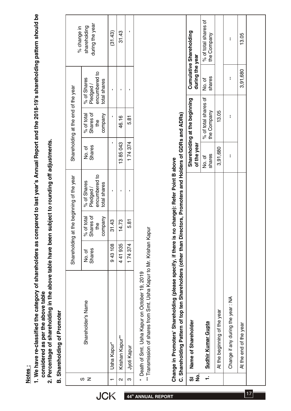- <u>Notes :</u><br>1. We have re-classified the category of shareholders as compared to last year's Annual Report and the 2018-19's shareholding pattern should be 1. We have re-classified the category of shareholders as compared to last year's Annual Report and the 2018-19's shareholding pattern should be considered as per the above table **considered as per the above table**
	- 2. Percentage of shareholding in the above table have been subject to rounding off adjustments. **2. Percentage of shareholding in the above table have been subject to rounding off adjustments.**
- **B.** Shareholding of Promoter **B. Shareholding of Promoter**

|        |                                       |                         |                                                     | Shareholding at the beginning of the year                 |                         | Shareholding at the end of the year      |                                                          | % change in                     |
|--------|---------------------------------------|-------------------------|-----------------------------------------------------|-----------------------------------------------------------|-------------------------|------------------------------------------|----------------------------------------------------------|---------------------------------|
| ഗ<br>z | Shareholder's Name                    | <b>Shares</b><br>No. of | hares of<br>of total<br>company<br>the<br>ಸಿ<br>້ ທ | encumbered to<br>% of Shares<br>total shares<br>Pledged / | <b>Shares</b><br>No. of | % of total<br>Shares of<br>company<br>e4 | encumbered to<br>% of Shares<br>total shares<br>Pledged/ | during the year<br>shareholding |
|        | Usha Kapur <sup>*</sup>               | 943108                  | 31.43                                               |                                                           |                         |                                          |                                                          | (31.43)                         |
| $\sim$ | Krishan Kapur <sup>**</sup>           | 441935                  | 14.73                                               |                                                           | 1385043                 | 46.16                                    |                                                          | 31.43                           |
|        | Jyoti Kapur                           | 174374                  | 5.81                                                |                                                           | 174374                  | 531<br>53                                |                                                          |                                 |
|        | not Dont Smillers Kanison Ottoprio 19 |                         |                                                     |                                                           |                         |                                          |                                                          |                                 |

**JCK** 

- A10Z 'A1 JaQOI3O LIO JIQBY BLISO 'ILIO IO LIBBO】 Death of Smt. Usha Kapur on October 19, 2019
- \*\* Transmission of shares from Smt. Usha Kapur to Mr. Krishan Kapur \*\* Transmission of shares from Smt. Usha Kapur to Mr. Krishan Kapur

| $\sim$                                                            | Krishan Kapur <sup>**</sup>                                                                                                                                                      | 441935 | 14.73 |                                 | 1385043          | 46.16                               |                  | 31.43                               |  |
|-------------------------------------------------------------------|----------------------------------------------------------------------------------------------------------------------------------------------------------------------------------|--------|-------|---------------------------------|------------------|-------------------------------------|------------------|-------------------------------------|--|
| ო                                                                 | Jyoti Kapur                                                                                                                                                                      | 174374 | 5.81  |                                 | 174374           | 5.81                                |                  |                                     |  |
|                                                                   | ** Transmission of shares from Smt. Usha Kapur to Mr. Krishan Kapur<br>* Death of Smt. Usha Kapur on October 19, 2019                                                            |        |       |                                 |                  |                                     |                  |                                     |  |
|                                                                   | C. Shareholding Pattern of top ten Shareholders (other than Directors, Promoters and Holders of GDRs and ADRs)<br>Change in Promoters' Shareholding (please specify, if there is |        |       | no change): Refer Point B above |                  |                                     |                  |                                     |  |
| $\overline{\dot{\mathbf{z}}}$<br>$\overline{\boldsymbol{\omega}}$ | Name of Shareholder                                                                                                                                                              |        |       |                                 | of the year      | Shareholding at the beginning       | during the year  | Cumulative Shareholding             |  |
|                                                                   | Sudhir Kumar Gupta                                                                                                                                                               |        |       |                                 | shares<br>No. of | % of total shares of<br>the Company | shares<br>No. of | % of total shares of<br>the Company |  |
|                                                                   | At the beginning of the year                                                                                                                                                     |        |       |                                 | 3,91,680         | 13.05                               |                  |                                     |  |
|                                                                   | Change if any during the year: NA                                                                                                                                                |        |       |                                 |                  |                                     |                  | ł                                   |  |
|                                                                   | At the end of the year                                                                                                                                                           |        |       |                                 |                  |                                     | 3,91,680         | 13.05                               |  |
|                                                                   |                                                                                                                                                                                  |        |       |                                 |                  |                                     |                  |                                     |  |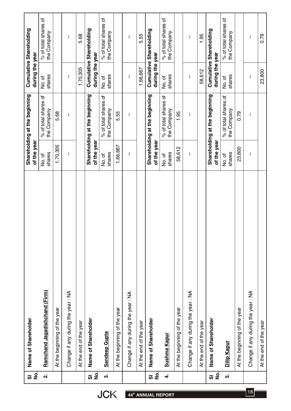|   | No.<br><b>თ</b>                                    | Name of Shareholder               | of the year      | Shareholding at the beginning       | during the year  | Cumulative Shareholding             |
|---|----------------------------------------------------|-----------------------------------|------------------|-------------------------------------|------------------|-------------------------------------|
|   | ี่ผ่                                               | Ramchand Jagadishchand (Firm)     | shares<br>No. of | % of total shares of<br>the Company | shares<br>No. of | % of total shares of<br>the Company |
|   |                                                    | At the beginning of the year      | 1,70,305         | 5.68                                |                  |                                     |
|   |                                                    | Change if any during the year: NA | t                | ł.                                  | f,               | ł,                                  |
|   |                                                    | At the end of the year            |                  |                                     | 1,70,305         | 5.68                                |
| ៸ | $\overline{9}$                                     | Name of Shareholder               | of the year      | Shareholding at the beginning       | during the year  | Cumulative Shareholding             |
|   | က                                                  | <b>Sandeep Gupta</b>              | shares<br>No. of | % of total shares of<br>the Company | shares<br>No. of | % of total shares of<br>the Company |
|   |                                                    | At the beginning of the year      | 1,66,667         | 5.55                                |                  |                                     |
|   |                                                    | Change if any during the year: NA | ł,               | ł,                                  | ł                | ł,                                  |
|   |                                                    | At the end of the year            |                  |                                     | 1,66,667         | 5.55                                |
|   | $\overline{5}$<br>$\overline{\boldsymbol{\omega}}$ | Name of Shareholder               | of the year      | Shareholding at the beginning       | during the year  | Cumulative Shareholding             |
|   | 4                                                  | Sushma Kapur                      | shares<br>No. of | % of total shares of<br>the Company | shares<br>No.of  | % of total shares of<br>the Company |
|   |                                                    | At the beginning of the year      | 58,612           | 1.95                                |                  |                                     |
|   |                                                    | Change if any during the year: NA | ł,               | ł.                                  | ł,               | ł.                                  |
|   |                                                    | At the end of the year            |                  |                                     | 58,612           | 1.95                                |
| ៸ | $\overline{9}$                                     | Name of Shareholder               | of the year      | Shareholding at the beginning       | during the year  | Cumulative Shareholding             |
|   | ທ່                                                 | Dilip Kapur                       | shares<br>No. of | % of total shares of<br>the Company | shares<br>No. of | % of total shares of<br>the Company |
|   |                                                    | At the beginning of the year      | 23,800           | 0.79                                |                  |                                     |
|   |                                                    | Change if any during the year: NA | I,               | ł                                   | ł                | ŧ                                   |
|   |                                                    | At the end of the year            |                  |                                     | 23,800           | 0.79                                |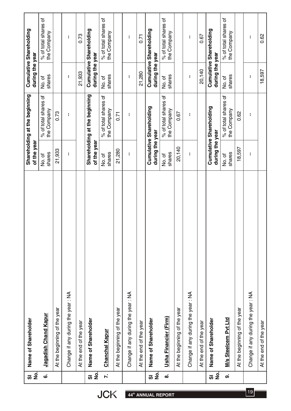| $\frac{1}{2}$<br>$\overline{\boldsymbol{\omega}}$ | Name of Shareholder               | of the year      | Shareholding at the beginning       | during the year  | Cumulative Shareholding             |
|---------------------------------------------------|-----------------------------------|------------------|-------------------------------------|------------------|-------------------------------------|
| ဖ                                                 | Jagadish Chand Kapur              | shares<br>No. of | % of total shares of<br>the Company | shares<br>No. of | % of total shares of<br>the Company |
|                                                   | At the beginning of the year      | 21,933           | 0.73                                |                  |                                     |
|                                                   | Change if any during the year: NA | ł,               | ł.                                  | f,               | ł,                                  |
|                                                   | At the end of the year            |                  |                                     | 21,933           | 0.73                                |
| $\overline{9}$<br>៸                               | Name of Shareholder               | of the year      | Shareholding at the beginning       | during the year  | Cumulative Shareholding             |
| $\ddot{\sim}$                                     | Chanchal Kapur                    | shares<br>No. of | % of total shares of<br>the Company | shares<br>No. of | % of total shares of<br>the Company |
|                                                   | At the beginning of the year      | 21,280           | 0.71                                |                  |                                     |
|                                                   | Change if any during the year: NA | ł                | ł,                                  | ł                | ł,                                  |
|                                                   | At the end of the year            |                  |                                     | 21,280           | 0.71                                |
| $\overline{5}$<br><b>්</b>                        | Name of Shareholder               | during the year  | Cumulative Shareholding             | during the year  | Cumulative Shareholding             |
| ထံ                                                | Usha Financier (Firm)             | shares<br>No. of | % of total shares of<br>the Company | shares<br>No. of | % of total shares of<br>the Company |
|                                                   | At the beginning of the year      | 20,140           | 0.67                                |                  |                                     |
|                                                   | Change if any during the year: NA | ł                | ŧ                                   | ł                | ł                                   |
|                                                   | At the end of the year            |                  |                                     | 20,140           | 0.67                                |
| $\overline{9}$<br>៸                               | Name of Shareholder               | during the year  | Cumulative Shareholding             | during the year  | Cumulative Shareholding             |
| တ                                                 | M/s Steelcem Pvt Ltd              | shares<br>No. of | % of total shares of<br>the Company | shares<br>No. of | % of total shares of<br>the Company |
|                                                   | At the beginning of the year      | 18,597           | 0.62                                |                  |                                     |
|                                                   | Change if any during the year: NA | I,               | ł                                   | ł                | ł                                   |
|                                                   | At the end of the year            |                  |                                     | 18,597           | 0.62                                |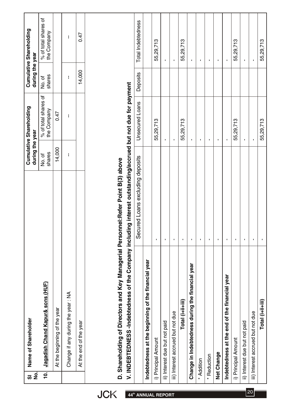| $\frac{1}{2}$<br><u>ಸ</u> | Name of Shareholder                                                                                        |                                  | during the year  | Cumulative Shareholding             | during the year  | Cumulative Shareholding             |
|---------------------------|------------------------------------------------------------------------------------------------------------|----------------------------------|------------------|-------------------------------------|------------------|-------------------------------------|
| $\overline{p}$            | Jagadish Chand Kapur& sons (HUF)                                                                           |                                  | shares<br>No. of | % of total shares of<br>the Company | shares<br>No. of | % of total shares of<br>the Company |
|                           | At the beginning of the year                                                                               |                                  | 14,000           | 0.47                                |                  |                                     |
|                           | Change if any during the year: NA                                                                          |                                  | ł                | I,                                  | ł                | ł.                                  |
|                           | At the end of the year                                                                                     |                                  |                  |                                     | 14,000           | 0.47                                |
|                           |                                                                                                            |                                  |                  |                                     |                  |                                     |
|                           | D. Shareholding of Directors and Key Managerial Personnel:Refer Point B(3) above                           |                                  |                  |                                     |                  |                                     |
|                           | V. INDEBTEDNESS-Indebtedness of the Company including interest outstanding/accrued but not due for payment |                                  |                  |                                     |                  |                                     |
|                           |                                                                                                            | Secured Loans excluding deposits |                  | <b>Unsecured Loans</b>              | Deposits         | Total Indebtedness                  |
|                           | Indebtedness at the beginning of the financial year                                                        |                                  |                  |                                     |                  |                                     |
|                           | i) Principal Amount                                                                                        | $\blacksquare$                   |                  | 55,29,713                           |                  | 55,29,713                           |
|                           | ii) Interest due but not paid                                                                              | $\blacksquare$                   |                  | $\blacksquare$                      |                  | $\blacksquare$                      |
|                           | iii) Interest accrued but not due                                                                          | $\blacksquare$                   |                  | $\blacksquare$                      |                  | $\mathbf I$                         |
|                           | Total (i+ii+iii)                                                                                           | $\blacksquare$                   |                  | 55,29,713                           |                  | 55,29,713                           |
|                           | Change in Indebtedness during the financial year                                                           | $\mathbf{I}$                     |                  | $\mathbf{I}$                        |                  | $\mathbf{I}$                        |
|                           | * Addition                                                                                                 | f,                               |                  | $\mathbf I$                         |                  | $\blacksquare$                      |
|                           | * Reduction                                                                                                | $\blacksquare$                   |                  | $\blacksquare$                      |                  | $\blacksquare$                      |
|                           | Net Change                                                                                                 | $\mathbf{I}$                     |                  | $\blacksquare$                      |                  | $\blacksquare$                      |
|                           | Indebtedness at the end of the financial year                                                              | $\blacksquare$                   |                  | J.                                  |                  | $\blacksquare$                      |
|                           | i) Principal Amount                                                                                        | I.                               |                  | 55,29,713                           |                  | 55,29,713                           |
|                           | ii) Interest due but not paid                                                                              | $\blacksquare$                   |                  | $\blacksquare$                      |                  | $\blacksquare$                      |
|                           | iii) Interest accrued but not due                                                                          | I.                               |                  | $\blacksquare$                      |                  | $\blacksquare$                      |
|                           | $Total (ii+iii)$                                                                                           | $\mathbf{I}$                     |                  | 55,29,713                           |                  | 55,29,713                           |

**thata 44<sup>th</sup> ANNUAL REPORT** 20 **120**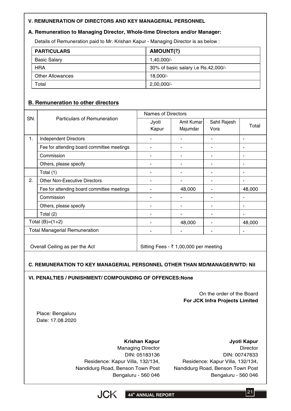#### **V. REMUNERATION OF DIRECTORS AND KEY MANAGERIAL PERSONNEL**

#### **A. Remuneration to Managing Director, Whole-time Directors and/or Manager:**

Details of Remuneration paid to Mr. Krishan Kapur - Managing Director is as below :

| <b>PARTICULARS</b>      | <b>AMOUNT(₹)</b>                      |
|-------------------------|---------------------------------------|
| <b>Basic Salary</b>     | $1,40,000/-$                          |
| <b>HRA</b>              | 30% of basic salary i, e Rs. 42,000/- |
| <b>Other Allowances</b> | 18,000/-                              |
| Total                   | $2,00,000/-$                          |

#### **B. Remuneration to other directors**

|     |                                            | Names of Directors |                                       |                      |        |
|-----|--------------------------------------------|--------------------|---------------------------------------|----------------------|--------|
| SN. | <b>Particulars of Remuneration</b>         | Jyoti<br>Kapur     | Amit Kumar<br>Majumdar                | Sahil Rajesh<br>Vora | Total  |
| 1.  | <b>Independent Directors</b>               |                    |                                       |                      |        |
|     | Fee for attending board committee meetings |                    |                                       |                      |        |
|     | Commission                                 | ۰                  | ۰                                     |                      |        |
|     | Others, please specify                     |                    |                                       |                      |        |
|     | Total (1)                                  |                    |                                       |                      |        |
| 2.  | <b>Other Non-Executive Directors</b>       |                    |                                       |                      |        |
|     | Fee for attending board committee meetings |                    | 48,000                                |                      | 48,000 |
|     | Commission                                 |                    |                                       |                      |        |
|     | Others, please specify                     |                    |                                       |                      |        |
|     | Total (2)                                  |                    |                                       |                      |        |
|     | Total $(B)=(1+2)$                          |                    | 48,000                                |                      | 48,000 |
|     | <b>Total Managerial Remuneration</b>       |                    |                                       |                      |        |
|     | Overall Ceiling as per the Act             |                    | Sitting Fees - ₹ 1,00,000 per meeting |                      |        |

#### **C. REMUNERATION TO KEY MANAGERIAL PERSONNEL OTHER THAN MD/MANAGER/WTD: Nil**

**VI. PENALTIES / PUNISHMENT/ COMPOUNDING OF OFFENCES:None**

On the order of the Board **For JCK Infra Projects Limited**

Place: Bengaluru Date: 17.08.2020

#### **Krishan Kapur**

**Jyoti Kapur**

Managing Director DIN: 05183136 Residence: Kapur Villa, 132/134, Nandidurg Road, Benson Town Post Bengaluru - 560 046

**Director** DIN: 00747833 Residence: Kapur Villa, 132/134, Nandidurg Road, Benson Town Post Bengaluru - 560 046



 $|21|$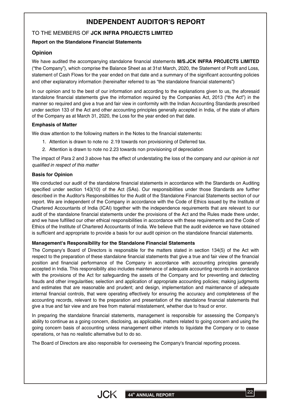# **INDEPENDENT AUDITOR'S REPORT**

#### TO THE MEMBERS OF **JCK INFRA PROJECTS LIMITED**

#### **Report on the Standalone Financial Statements**

#### **Opinion**

We have audited the accompanying standalone financial statements **M/S.JCK INFRA PROJECTS LIMITED** ("the Company"), which comprise the Balance Sheet as at 31st March, 2020, the Statement of Profit and Loss, statement of Cash Flows for the year ended on that date and a summary of the significant accounting policies and other explanatory information (hereinafter referred to as "the standalone financial statements")

In our opinion and to the best of our information and according to the explanations given to us, the aforesaid standalone financial statements give the information required by the Companies Act, 2013 ("the Act") in the manner so required and give a true and fair view in conformity with the Indian Accounting Standards prescribed under section 133 of the Act and other accounting principles generally accepted in India, of the state of affairs of the Company as at March 31, 2020, the Loss for the year ended on that date.

#### **Emphasis of Matter**

We draw attention to the following matters in the Notes to the financial statements**:**

- 1. Attention is drawn to note no 2.19 towards non provisioning of Deferred tax.
- 2. Attention is drawn to note no 2.23 towards non provisioning of depreciation

The impact of Para 2 and 3 above has the effect of understating the loss of the company and *our opinion is not qualified in respect of this matter*

#### **Basis for Opinion**

We conducted our audit of the standalone financial statements in accordance with the Standards on Auditing specified under section 143(10) of the Act (SAs). Our responsibilities under those Standards are further described in the Auditor's Responsibilities for the Audit of the Standalone Financial Statements section of our report. We are independent of the Company in accordance with the Code of Ethics issued by the Institute of Chartered Accountants of India (ICAI) together with the independence requirements that are relevant to our audit of the standalone financial statements under the provisions of the Act and the Rules made there under, and we have fulfilled our other ethical responsibilities in accordance with these requirements and the Code of Ethics of the Institute of Chartered Accountants of India. We believe that the audit evidence we have obtained is sufficient and appropriate to provide a basis for our audit opinion on the standalone financial statements.

#### **Management's Responsibility for the Standalone Financial Statements**

The Company's Board of Directors is responsible for the matters stated in section 134(5) of the Act with respect to the preparation of these standalone financial statements that give a true and fair view of the financial position and financial performance of the Company in accordance with accounting principles generally accepted in India. This responsibility also includes maintenance of adequate accounting records in accordance with the provisions of the Act for safeguarding the assets of the Company and for preventing and detecting frauds and other irregularities; selection and application of appropriate accounting policies; making judgments and estimates that are reasonable and prudent; and design, implementation and maintenance of adequate internal financial controls, that were operating effectively for ensuring the accuracy and completeness of the accounting records, relevant to the preparation and presentation of the standalone financial statements that give a true and fair view and are free from material misstatement, whether due to fraud or error.

In preparing the standalone financial statements, management is responsible for assessing the Company's ability to continue as a going concern, disclosing, as applicable, matters related to going concern and using the going concern basis of accounting unless management either intends to liquidate the Company or to cease operations, or has no realistic alternative but to do so.

The Board of Directors are also responsible for overseeing the Company's financial reporting process.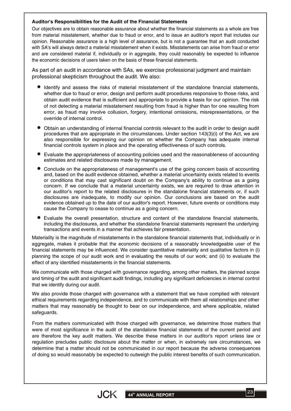#### **Auditor's Responsibilities for the Audit of the Financial Statements**

Our objectives are to obtain reasonable assurance about whether the financial statements as a whole are free from material misstatement, whether due to fraud or error, and to issue an auditor's report that includes our opinion. Reasonable assurance is a high level of assurance, but is not a guarantee that an audit conducted with SA's will always detect a material misstatement when it exists. Misstatements can arise from fraud or error and are considered material if, individually or in aggregate, they could reasonably be expected to influence the economic decisions of users taken on the basis of these financial statements.

As part of an audit in accordance with SAs, we exercise professional judgment and maintain professional skepticism throughout the audit. We also:

- Identify and assess the risks of material misstatement of the standalone financial statements, whether due to fraud or error, design and perform audit procedures responsive to those risks, and obtain audit evidence that is sufficient and appropriate to provide a basis for our opinion. The risk of not detecting a material misstatement resulting from fraud is higher than for one resulting from error, as fraud may involve collusion, forgery, intentional omissions, misrepresentations, or the override of internal control.
- Obtain an understanding of internal financial controls relevant to the audit in order to design audit procedures that are appropriate in the circumstances. Under section 143(3)(i) of the Act, we are also responsible for expressing our opinion on whether the Company has adequate internal financial controls system in place and the operating effectiveness of such controls.
- Evaluate the appropriateness of accounting policies used and the reasonableness of accounting estimates and related disclosures made by management.
- Conclude on the appropriateness of management's use of the going concern basis of accounting and, based on the audit evidence obtained, whether a material uncertainty exists related to events or conditions that may cast significant doubt on the Company's ability to continue as a going concern. If we conclude that a material uncertainty exists, we are required to draw attention in our auditor's report to the related disclosures in the standalone financial statements or, if such disclosures are inadequate, to modify our opinion. Our conclusions are based on the audit evidence obtained up to the date of our auditor's report. However, future events or conditions may cause the Company to cease to continue as a going concern.
- Evaluate the overall presentation, structure and content of the standalone financial statements, including the disclosures, and whether the standalone financial statements represent the underlying transactions and events in a manner that achieves fair presentation.

Materiality is the magnitude of misstatements in the standalone financial statements that, individually or in aggregate, makes it probable that the economic decisions of a reasonably knowledgeable user of the financial statements may be influenced. We consider quantitative materiality and qualitative factors in (i) planning the scope of our audit work and in evaluating the results of our work; and (ii) to evaluate the effect of any identified misstatements in the financial statements.

We communicate with those charged with governance regarding, among other matters, the planned scope and timing of the audit and significant audit findings, including any significant deficiencies in internal control that we identify during our audit.

We also provide those charged with governance with a statement that we have complied with relevant ethical requirements regarding independence, and to communicate with them all relationships and other matters that may reasonably be thought to bear on our independence, and where applicable, related safeguards.

From the matters communicated with those charged with governance, we determine those matters that were of most significance in the audit of the standalone financial statements of the current period and are therefore the key audit matters. We describe these matters in our auditor's report unless law or regulation precludes public disclosure about the matter or when, in extremely rare circumstances, we determine that a matter should not be communicated in our report because the adverse consequences of doing so would reasonably be expected to outweigh the public interest benefits of such communication.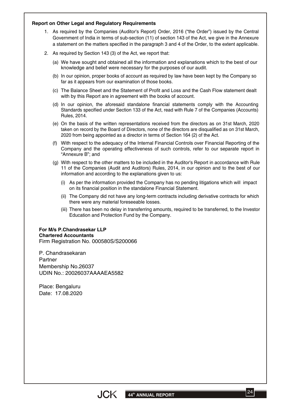#### **Report on Other Legal and Regulatory Requirements**

- 1. As required by the Companies (Auditor's Report) Order, 2016 ("the Order") issued by the Central Government of India in terms of sub-section (11) of section 143 of the Act, we give in the Annexure a statement on the matters specified in the paragraph 3 and 4 of the Order, to the extent applicable.
- 2. As required by Section 143 (3) of the Act, we report that:
	- We have sought and obtained all the information and explanations which to the best of our (a) knowledge and belief were necessary for the purposes of our audit.
	- (b) In our opinion, proper books of account as required by law have been kept by the Company so far as it appears from our examination of those books.
	- The Balance Sheet and the Statement of Profit and Loss and the Cash Flow statement dealt (c) with by this Report are in agreement with the books of account.
	- (d) In our opinion, the aforesaid standalone financial statements comply with the Accounting Standards specified under Section 133 of the Act, read with Rule 7 of the Companies (Accounts) Rules, 2014.
	- On the basis of the written representations received from the directors as on 31st March, 2020 (e) taken on record by the Board of Directors, none of the directors are disqualified as on 31st March, 2020 from being appointed as a director in terms of Section 164 (2) of the Act.
	- With respect to the adequacy of the Internal Financial Controls over Financial Reporting of the (f) Company and the operating effectiveness of such controls, refer to our separate report in "Annexure B"; and
	- With respect to the other matters to be included in the Auditor's Report in accordance with Rule (g) 11 of the Companies (Audit and Auditors) Rules, 2014, in our opinion and to the best of our information and according to the explanations given to us:
		- As per the information provided the Company has no pending litigations which will impact (i) on its financial position in the standalone Financial Statement.
		- The Company did not have any long-term contracts including derivative contracts for which (ii) there were any material foreseeable losses.
		- There has been no delay in transferring amounts, required to be transferred, to the Investor (iii) Education and Protection Fund by the Company.

#### **For M/s P.Chandrasekar LLP Chartered Accountants** Firm Registration No. 000580S/S200066

P. Chandrasekaran Partner Membership No.26037 UDIN No.: 20026037AAAAEA5582

Place: Bengaluru Date: 17.08.2020

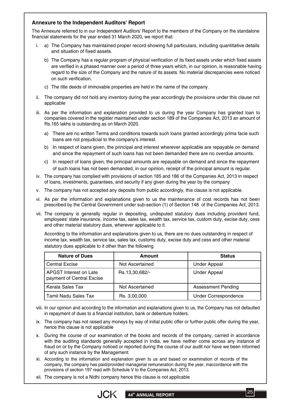#### **Annexure to the Independent Auditors' Report**

The Annexure referred to in our Independent Auditors' Report to the members of the Company on the standalone financial statements for the year ended 31 March 2020, we report that:

- i. a) The Company has maintained proper record showing full particulars, including quantitative details and situation of fixed assets.
	- b) The Company has a regular program of physical verification of its fixed assets under which fixed assets are verified in a phased manner over a period of three years which, in our opinion, is reasonable having regard to the size of the Company and the nature of its assets. No material discrepancies were noticed on such verification.
	- The title deeds of immovable properties are held in the name of the company. c)
- ii. The company did not hold any inventory during the year accordingly the provisions under this clause not applicable
- iii. As per the information and explanation provided to us during the year Company has granted loan to companies covered in the register maintained under section 189 of the Companies Act, 2013 an amount of Rs.165 lakhs is outstanding as on March 2020.
	- a) There are no written Terms and conditions towards such loans granted accordingly prima facie such loans are not prejudicial to the company's interest.
	- b) In respect of loans given, the principal and interest wherever applicable are repayable on demand and since the repayment of such loans has not been demanded there are no overdue amounts.
	- c) In respect of loans given, the principal amounts are repayable on demand and since the repayment of such loans has not been demanded, in our opinion, receipt of the principal amount is regular.
- iv. The company has complied with provisions of section 185 and 186 of the Companies Act, 2013 in respect of loans, investments, guarantees, and security if any given during the year by the company
- The company has not accepted any deposits from public accordingly, this clause is not applicable. v.
- vi. As per the information and explanations given to us the maintenance of cost records has not been prescribed by the Central Government under sub-section (1) of Section 148 of the Companies Act, 2013.
- vii. The company is generally regular in depositing, undisputed statutory dues including provident fund, employees' state insurance, income tax, sales tax, wealth tax, service tax, custom duty, excise duty, cess and other material statutory dues, wherever applicable to it.

According to the information and explanations given to us, there are no dues outstanding in respect of income tax, wealth tax, service tax, sales tax, customs duty, excise duty and cess and other material statutory dues applicable to it other than the following

| <b>Nature of Dues</b>                               | Amount          | <b>Status</b>               |
|-----------------------------------------------------|-----------------|-----------------------------|
| <b>Central Excise</b>                               | Not Ascertained | <b>Under Appeal</b>         |
| APGST Interest on Late<br>payment of Central Excise | Rs.13,30,682/-  | <b>Under Appeal</b>         |
| Kerala Sales Tax                                    | Not Ascertained | <b>Assessment Pending</b>   |
| Tamil Nadu Sales Tax                                | Rs. 3,00,000    | <b>Under Correspondence</b> |

- viii. In our opinion and according to the information and explanations given to us, the Company has not defaulted in repayment of dues to a financial institution, bank or debenture holders.
- ix. The company has not raised any moneys by way of initial public offer or further public offer during the year, hence this clause is not applicable
- During the course of our examination of the books and records of the company, carried in accordance x. with the auditing standards generally accepted in India, we have neither come across any instance of fraud on or by the Company noticed or reported during the course of our audit nor have we been informed of any such instance by the Management.
- xi. According to the information and explanation given to us and based on examination of records of the company, the company has paid/provided managerial remuneration during the year, inaccordance with the provisions of section 197 read with Schedule V to the Companies Act, 2013.
- xii. The company is not a Nidhi company hence this clause is not applicable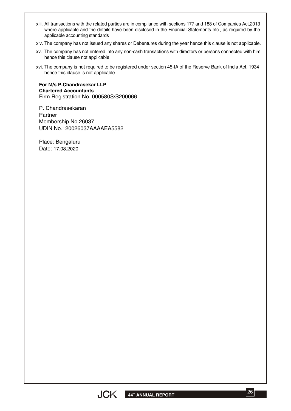- All transactions with the related parties are in compliance with sections 177 and 188 of Companies Act,2013 xiii. where applicable and the details have been disclosed in the Financial Statements etc., as required by the applicable accounting standards
- xiv. The company has not issued any shares or Debentures during the year hence this clause is not applicable.
- xv. The company has not entered into any non-cash transactions with directors or persons connected with him hence this clause not applicable
- The company is not required to be registered under section 45-IA of the Reserve Bank of India Act, 1934 xvi. hence this clause is not applicable.

**For M/s P.Chandrasekar LLP Chartered Accountants** Firm Registration No. 000580S/S200066

P. Chandrasekaran Partner Membership No.26037 UDIN No.: 20026037AAAAEA5582

Place: Bengaluru Date: 17.08.2020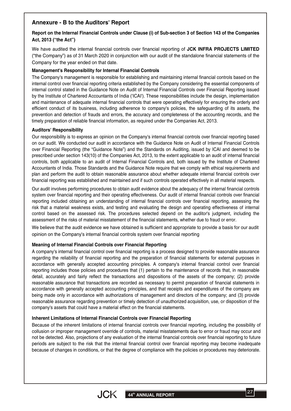## **Annexure - B to the Auditors' Report**

#### Report on the Internal Financial Controls under Clause (i) of Sub-section 3 of Section 143 of the Companies **Act, 2013 ("the Act")**

We have audited the internal financial controls over financial reporting of **JCK INFRA PROJECTS LIMITED** ("the Company") as of 31 March 2020 in conjunction with our audit of the standalone financial statements of the Company for the year ended on that date.

#### **Management's Responsibility for Internal Financial Controls**

The Company's management is responsible for establishing and maintaining internal financial controls based on the internal control over financial reporting criteria established by the Company considering the essential components of internal control stated in the Guidance Note on Audit of Internal Financial Controls over Financial Reporting issued by the Institute of Chartered Accountants of India ('ICAI'). These responsibilities include the design, implementation and maintenance of adequate internal financial controls that were operating effectively for ensuring the orderly and efficient conduct of its business, including adherence to company's policies, the safeguarding of its assets, the prevention and detection of frauds and errors, the accuracy and completeness of the accounting records, and the timely preparation of reliable financial information, as required under the Companies Act, 2013.

#### **Auditors' Responsibility**

Our responsibility is to express an opinion on the Company's internal financial controls over financial reporting based on our audit. We conducted our audit in accordance with the Guidance Note on Audit of Internal Financial Controls over Financial Reporting (the "Guidance Note") and the Standards on Auditing, issued by ICAI and deemed to be prescribed under section 143(10) of the Companies Act, 2013, to the extent applicable to an audit of internal financial controls, both applicable to an audit of Internal Financial Controls and, both issued by the Institute of Chartered Accountants of India. Those Standards and the Guidance Note require that we comply with ethical requirements and plan and perform the audit to obtain reasonable assurance about whether adequate internal financial controls over financial reporting was established and maintained and if such controls operated effectively in all material respects.

Our audit involves performing procedures to obtain audit evidence about the adequacy of the internal financial controls system over financial reporting and their operating effectiveness. Our audit of internal financial controls over financial reporting included obtaining an understanding of internal financial controls over financial reporting, assessing the risk that a material weakness exists, and testing and evaluating the design and operating effectiveness of internal control based on the assessed risk. The procedures selected depend on the auditor's judgment, including the assessment of the risks of material misstatement of the financial statements, whether due to fraud or error.

We believe that the audit evidence we have obtained is sufficient and appropriate to provide a basis for our audit opinion on the Company's internal financial controls system over financial reporting

#### **Meaning of Internal Financial Controls over Financial Reporting**

A company's internal financial control over financial reporting is a process designed to provide reasonable assurance regarding the reliability of financial reporting and the preparation of financial statements for external purposes in accordance with generally accepted accounting principles. A company's internal financial control over financial reporting includes those policies and procedures that (1) pertain to the maintenance of records that, in reasonable detail, accurately and fairly reflect the transactions and dispositions of the assets of the company; (2) provide reasonable assurance that transactions are recorded as necessary to permit preparation of financial statements in accordance with generally accepted accounting principles, and that receipts and expenditures of the company are being made only in accordance with authorizations of management and directors of the company; and (3) provide reasonable assurance regarding prevention or timely detection of unauthorized acquisition, use, or disposition of the company's assets that could have a material effect on the financial statements.

#### **Inherent Limitations of Internal Financial Controls over Financial Reporting**

Because of the inherent limitations of internal financial controls over financial reporting, including the possibility of collusion or improper management override of controls, material misstatements due to error or fraud may occur and not be detected. Also, projections of any evaluation of the internal financial controls over financial reporting to future periods are subject to the risk that the internal financial control over financial reporting may become inadequate because of changes in conditions, or that the degree of compliance with the policies or procedures may deteriorate.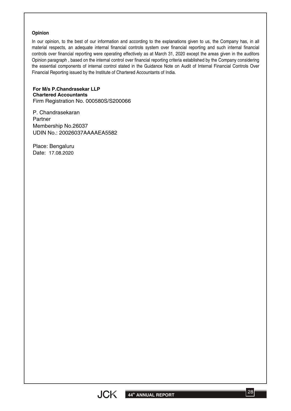#### **Opinion**

In our opinion, to the best of our information and according to the explanations given to us, the Company has, in all material respects, an adequate internal financial controls system over financial reporting and such internal financial controls over financial reporting were operating effectively as at March 31, 2020 except the areas given in the auditors Opinion paragraph , based on the internal control over financial reporting criteria established by the Company considering the essential components of internal control stated in the Guidance Note on Audit of Internal Financial Controls Over Financial Reporting issued by the Institute of Chartered Accountants of India.

**For M/s P.Chandrasekar LLP Chartered Accountants** Firm Registration No. 000580S/S200066

P. Chandrasekaran Partner Membership No.26037 UDIN No.: 20026037AAAAEA5582

Place: Bengaluru Date: 17.08.2020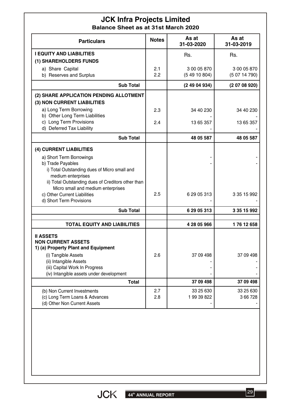## **JCK Infra Projects Limited Balance Sheet as at 31st March 2020**

| <b>Particulars</b>                                                                       | <b>Notes</b> | As at<br>31-03-2020 | As at<br>31-03-2019 |
|------------------------------------------------------------------------------------------|--------------|---------------------|---------------------|
| <b>I EQUITY AND LIABILITIES</b>                                                          |              | Rs.                 | Rs.                 |
| (1) SHAREHOLDERS FUNDS                                                                   |              |                     |                     |
| a) Share Capital                                                                         | 2.1          | 3 00 05 870         | 3 00 05 870         |
| b) Reserves and Surplus                                                                  | 2.2          | (54910804)          | (50714790)          |
| <b>Sub Total</b>                                                                         |              | (24904934)          | (20708920)          |
| (2) SHARE APPLICATION PENDING ALLOTMENT                                                  |              |                     |                     |
| (3) NON CURRENT LIABILITIES                                                              |              |                     |                     |
| a) Long Term Borrowing                                                                   | 2.3          | 34 40 230           | 34 40 230           |
| b) Other Long Term Liabilities                                                           |              |                     |                     |
| c) Long Term Provisions<br>d) Deferred Tax Liability                                     | 2.4          | 13 65 357           | 13 65 357           |
| <b>Sub Total</b>                                                                         |              | 48 05 587           | 48 05 587           |
| (4) CURRENT LIABILITIES                                                                  |              |                     |                     |
| a) Short Term Borrowings                                                                 |              |                     |                     |
| b) Trade Payables                                                                        |              |                     |                     |
| i) Total Outstanding dues of Micro small and                                             |              |                     |                     |
| medium enterprises                                                                       |              |                     |                     |
| ii) Total Outstanding dues of Creditors other than<br>Micro small and medium enterprises |              |                     |                     |
| c) Other Current Liabilities                                                             | 2.5          | 6 29 05 313         | 3 35 15 992         |
| d) Short Term Provisions                                                                 |              |                     |                     |
| <b>Sub Total</b>                                                                         |              | 6 29 05 313         | 3 35 15 992         |
| <b>TOTAL EQUITY AND LIABILITIES</b>                                                      |              | 4 28 05 966         | 176 12 658          |
|                                                                                          |              |                     |                     |
| <b>II ASSETS</b><br><b>NON CURRENT ASSETS</b>                                            |              |                     |                     |
| 1) (a) Property Plant and Equipment                                                      |              |                     |                     |
| (i) Tangible Assets                                                                      | 2.6          | 37 09 498           | 37 09 498           |
| (ii) Intangible Assets                                                                   |              |                     |                     |
| (iii) Capital Work In Progress                                                           |              |                     |                     |
| (iv) Intangible assets under development                                                 |              |                     |                     |
| <b>Total</b>                                                                             |              | 37 09 498           | 37 09 498           |
| (b) Non Current Investments                                                              | 2.7          | 33 25 630           | 33 25 630           |
| (c) Long Term Loans & Advances                                                           | 2.8          | 1 99 39 822         | 3 66 7 28           |
| (d) Other Non Current Assets                                                             |              |                     |                     |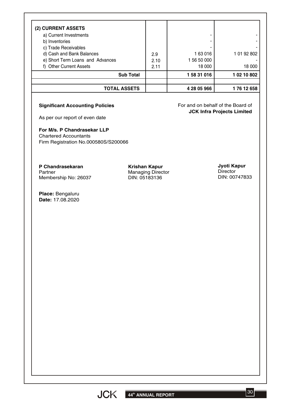| <b>Sub Total</b>                 |      | 158 31 016  | 1 02 10 802 |
|----------------------------------|------|-------------|-------------|
| f) Other Current Assets          | 2.11 | 18 000      | 18 000      |
| e) Short Term Loans and Advances | 2.10 | 1 56 50 000 |             |
| d) Cash and Bank Balances        | 2.9  | 163016      | 1 01 92 802 |
| c) Trade Receivables             |      |             |             |
| b) Inventories                   |      |             |             |
| a) Current Investments           |      |             |             |
| (2) CURRENT ASSETS               |      |             |             |

#### **Significant Accounting Policies**

For and on behalf of the Board of **JCK Infra Projects Limited**

As per our report of even date

**For M/s. P Chandrasekar LLP** Chartered Accountants

Firm Registration No.000580S/S200066

**P Chandrasekaran** Partner Membership No: 26037

**Place:** Bengaluru **Date:** 17.08.2020

**Krishan Kapur** Managing Director DIN: 05183136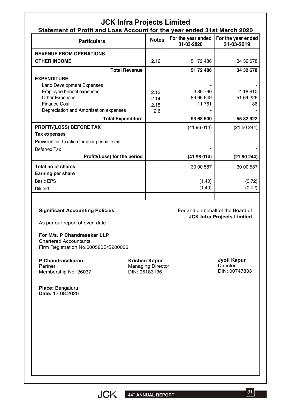| <b>JCK Infra Projects Limited</b><br>Statement of Profit and Loss Account for the year ended 31st March 2020 |                                                                   |                                  |                                                                        |  |  |  |
|--------------------------------------------------------------------------------------------------------------|-------------------------------------------------------------------|----------------------------------|------------------------------------------------------------------------|--|--|--|
| <b>Particulars</b>                                                                                           | <b>Notes</b>                                                      | For the year ended<br>31-03-2020 | For the year ended<br>31-03-2019                                       |  |  |  |
| <b>REVENUE FROM OPERATIONS</b>                                                                               |                                                                   |                                  |                                                                        |  |  |  |
| <b>OTHER INCOME</b>                                                                                          | 2.12                                                              | 51 72 486                        | 34 32 678                                                              |  |  |  |
| <b>Total Revenue</b>                                                                                         |                                                                   | 51 72 486                        | 34 32 678                                                              |  |  |  |
| <b>EXPENDITURE</b>                                                                                           |                                                                   |                                  |                                                                        |  |  |  |
| <b>Land Development Expenses</b>                                                                             |                                                                   |                                  |                                                                        |  |  |  |
| Employee benefit expenses                                                                                    | 2.13                                                              | 389790                           | 4 18 6 10                                                              |  |  |  |
| <b>Other Expenses</b>                                                                                        | 2.14                                                              | 89 66 949                        | 51 64 226                                                              |  |  |  |
| <b>Finance Cost</b>                                                                                          | 2.15                                                              | 11 761                           | 86                                                                     |  |  |  |
| Depreciation and Amortisation expenses                                                                       | 2.6                                                               |                                  |                                                                        |  |  |  |
| <b>Total Expenditure</b>                                                                                     |                                                                   | 93 68 500                        | 55 82 922                                                              |  |  |  |
| <b>PROFIT/(LOSS) BEFORE TAX</b>                                                                              |                                                                   | (4196014)                        | (21 50 244)                                                            |  |  |  |
| <b>Tax expenses</b>                                                                                          |                                                                   |                                  |                                                                        |  |  |  |
| Provision for Taxation for prior period items                                                                |                                                                   |                                  |                                                                        |  |  |  |
| Deferred Tax                                                                                                 |                                                                   |                                  |                                                                        |  |  |  |
| Profit/(Loss) for the period                                                                                 |                                                                   | (4196014)                        | (21 50 244)                                                            |  |  |  |
| <b>Total no of shares</b>                                                                                    |                                                                   | 30 00 587                        | 30 00 587                                                              |  |  |  |
| <b>Earning per share</b>                                                                                     |                                                                   |                                  |                                                                        |  |  |  |
| <b>Basic EPS</b>                                                                                             |                                                                   |                                  |                                                                        |  |  |  |
|                                                                                                              |                                                                   | (1.40)                           | (0.72)                                                                 |  |  |  |
| <b>Diluted</b>                                                                                               |                                                                   | (1.40)                           | (0.72)                                                                 |  |  |  |
| <b>Significant Accounting Policies</b><br>As per our report of even date<br>For M/s. P Chandrasekar LLP      |                                                                   |                                  | For and on behalf of the Board of<br><b>JCK Infra Projects Limited</b> |  |  |  |
| <b>Chartered Accountants</b><br>Firm Registration No.000580S/S200066                                         |                                                                   |                                  |                                                                        |  |  |  |
| P Chandrasekaran<br>Partner<br>Membership No: 26037                                                          | <b>Krishan Kapur</b><br><b>Managing Director</b><br>DIN: 05183136 |                                  | Jyoti Kapur<br><b>Director</b><br>DIN: 00747833                        |  |  |  |
| Place: Bengaluru<br>Date: 17.08.2020                                                                         |                                                                   |                                  |                                                                        |  |  |  |
|                                                                                                              |                                                                   |                                  |                                                                        |  |  |  |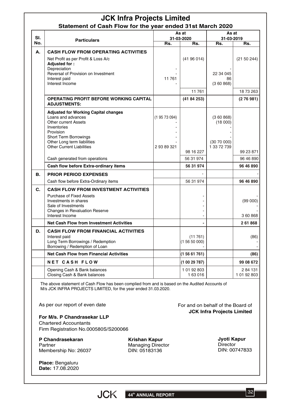## **JCK Infra Projects Limited Statement of Cash Flow for the year ended 31st March 2020**

| SI. | <b>Particulars</b>                                                                                                                                                                                                              |                        | As at<br>31-03-2020    | As at<br>31-03-2019                             |                        |  |
|-----|---------------------------------------------------------------------------------------------------------------------------------------------------------------------------------------------------------------------------------|------------------------|------------------------|-------------------------------------------------|------------------------|--|
| No. |                                                                                                                                                                                                                                 | Rs.                    | Rs.                    | Rs.                                             | Rs.                    |  |
| А.  | <b>CASH FLOW FROM OPERATING ACTIVITIES</b><br>Net Profit as per Profit & Loss A/c<br>Adjusted for:<br>Depreciation                                                                                                              |                        | (4196014)              |                                                 | (21 50 244)            |  |
|     | Reversal of Provision on Investment<br>Interest paid<br>Interest Income                                                                                                                                                         | 11 761                 | 11761                  | 22 34 045<br>86<br>(360868)                     | 18 73 263              |  |
|     | <b>OPERATING PROFIT BEFORE WORKING CAPITAL</b><br><b>ADJUSTMENTS:</b>                                                                                                                                                           |                        | (4184253)              |                                                 | (276981)               |  |
|     | <b>Adjusted for Working Capital changes</b><br>Loans and advances<br><b>Other current Assets</b><br>Inventories<br>Provision<br><b>Short Term Borrowings</b><br>Other Long term liabilities<br><b>Other Current Liabilities</b> | (19573094)<br>29389321 |                        | (360868)<br>(18000)<br>(3070000)<br>1 33 72 739 |                        |  |
|     | Cash generated from operations                                                                                                                                                                                                  |                        | 98 16 227<br>56 31 974 |                                                 | 99 23 871<br>96 46 890 |  |
|     | Cash flow before Extra-ordinary items                                                                                                                                                                                           |                        | 56 31 974              |                                                 | 96 46 890              |  |
| В.  | <b>PRIOR PERIOD EXPENSES</b>                                                                                                                                                                                                    |                        |                        |                                                 |                        |  |
|     | Cash flow before Extra-Ordinary items                                                                                                                                                                                           |                        | 56 31 974              |                                                 | 96 46 890              |  |
| C.  | <b>CASH FLOW FROM INVESTMENT ACTIVITIES</b><br>Purchase of Fixed Assets<br>Investments in shares<br>Sale of Investments<br>Changes in Revaluation Reserve<br>Interest Income                                                    |                        |                        |                                                 | (99 000)<br>3 60 868   |  |
|     | <b>Net Cash Flow from Investment Activities</b>                                                                                                                                                                                 |                        |                        |                                                 | 261868                 |  |
| D.  | <b>CASH FLOW FROM FINANCIAL ACTIVITIES</b><br>Interest paid<br>Long Term Borrowings / Redemption<br>Borrowing / Redemption of Loan                                                                                              |                        | (11761)<br>(15650000)  |                                                 | (86)                   |  |
|     | <b>Net Cash Flow from Financial Activities</b>                                                                                                                                                                                  |                        | (15661761)             |                                                 | (86)                   |  |
|     | <b>NET CASH FLOW</b>                                                                                                                                                                                                            |                        | (10029787)             |                                                 | 99 08 672              |  |
|     | Opening Cash & Bank balances<br>Closing Cash & Bank balances                                                                                                                                                                    |                        | 1 01 92 803<br>163016  |                                                 | 284 131<br>1 01 92 803 |  |

The above statement of Cash Flow has been complied from and is based on the Audited Accounts of M/s JCK INFRA PROJECTS LIMITED, for the year ended 31.03.2020.

As per our report of even date

For and on behalf of the Board of **JCK Infra Projects Limited**

**For M/s. P Chandrasekar LLP** Chartered Accountants Firm Registration No.000580S/S200066

**P Chandrasekaran** Partner Membership No: 26037

**Krishan Kapur** Managing Director DIN: 05183136

**Jyoti Kapur Director** DIN: 00747833

**Place:** Bengaluru **Date:** 17.08.2020

32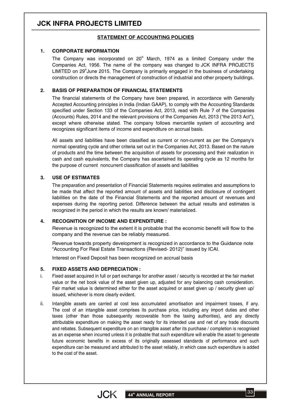# **JCK INFRA PROJECTS LIMITED**

#### **STATEMENT OF ACCOUNTING POLICIES**

#### **1. CORPORATE INFORMATION**

The Company was incorporated on  $20<sup>th</sup>$  March, 1974 as a limited Company under the Companies Act, 1956. The name of the company was changed to JCK INFRA PROJECTS LIMITED on  $29<sup>th</sup>$ June 2015. The Company is primarily engaged in the business of undertaking construction or directs the management of construction of industrial and other property buildings.

#### **2. BASIS OF PREPARATION OF FINANCIAL STATEMENTS**

The financial statements of the Company have been prepared, in accordance with Generally Accepted Accounting principles in India (Indian GAAP), to comply with the Accounting Standards specified under Section 133 of the Companies Act, 2013, read with Rule 7 of the Companies (Accounts) Rules, 2014 and the relevant provisions of the Companies Act, 2013 ("the 2013 Act"), except where otherwise stated. The company follows mercantile system of accounting and recognizes significant items of income and expenditure on accrual basis.

All assets and liabilities have been classified as current or non-current as per the Company's normal operating cycle and other criteria set out in the Companies Act, 2013. Based on the nature of products and the time between the acquisition of assets for processing and their realization in cash and cash equivalents, the Company has ascertained its operating cycle as 12 months for the purpose of current noncurrent classification of assets and liabilities

#### **3. USE OF ESTIMATES**

The preparation and presentation of Financial Statements requires estimates and assumptions to be made that affect the reported amount of assets and liabilities and disclosure of contingent liabilities on the date of the Financial Statements and the reported amount of revenues and expenses during the reporting period. Difference between the actual results and estimates is recognized in the period in which the results are known/ materialized.

#### **4. RECOGNITION OF INCOME AND EXPENDITURE :**

Revenue is recognized to the extent it is probable that the economic benefit will flow to the company and the revenue can be reliably measured.

Revenue towards property development is recognized in accordance to the Guidance note "Accounting For Real Estate Transactions (Revised- 2012)" issued by ICAI.

Interest on Fixed Deposit has been recognized on accrual basis

#### **5. FIXED ASSETS AND DEPRECIATION :**

- Fixed asset acquired in full or part exchange for another asset / security is recorded at the fair market value or the net book value of the asset given up, adjusted for any balancing cash consideration. Fair market value is determined either for the asset acquired or asset given up / security given up/ issued, whichever is more clearly evident. i.
- Intangible assets are carried at cost less accumulated amortisation and impairment losses, if any. The cost of an intangible asset comprises its purchase price, including any import duties and other taxes (other than those subsequently recoverable from the taxing authorities), and any directly attributable expenditure on making the asset ready for its intended use and net of any trade discounts and rebates. Subsequent expenditure on an intangible asset after its purchase / completion is recognised as an expense when incurred unless it is probable that such expenditure will enable the asset to generate future economic benefits in excess of its originally assessed standards of performance and such expenditure can be measured and attributed to the asset reliably, in which case such expenditure is added to the cost of the asset. ii.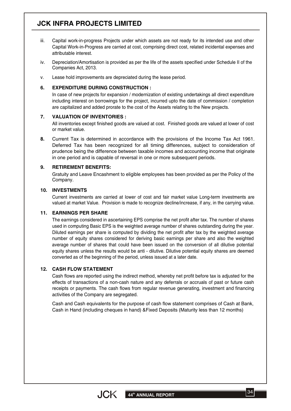# **JCK INFRA PROJECTS LIMITED**

- Capital work-in-progress Projects under which assets are not ready for its intended use and other Capital Work-in-Progress are carried at cost, comprising direct cost, related incidental expenses and attributable interest. iii.
- Depreciation/Amortisation is provided as per the life of the assets specified under Schedule II of the Companies Act, 2013. iv.
- Lease hold improvements are depreciated during the lease period. v.

#### **6. EXPENDITURE DURING CONSTRUCTION :**

In case of new projects for expansion / modernization of existing undertakings all direct expenditure including interest on borrowings for the project, incurred upto the date of commission / completion are capitalized and added prorate to the cost of the Assets relating to the New projects.

#### **7. VALUATION OF INVENTORIES :**

All inventories except finished goods are valued at cost. Finished goods are valued at lower of cost or market value.

**8.** Current Tax is determined in accordance with the provisions of the Income Tax Act 1961. Deferred Tax has been recognized for all timing differences, subject to consideration of prudence being the difference between taxable incomes and accounting income that originate in one period and is capable of reversal in one or more subsequent periods.

#### **9. RETIREMENT BENEFITS:**

Gratuity and Leave Encashment to eligible employees has been provided as per the Policy of the Company.

#### **10. INVESTMENTS**

Current investments are carried at lower of cost and fair market value Long-term investments are valued at market Value. Provision is made to recognize decline/increase, if any, in the carrying value.

#### **11. EARNINGS PER SHARE**

The earnings considered in ascertaining EPS comprise the net profit after tax. The number of shares used in computing Basic EPS is the weighted average number of shares outstanding during the year. Diluted earnings per share is computed by dividing the net profit after tax by the weighted average number of equity shares considered for deriving basic earnings per share and also the weighted average number of shares that could have been issued on the conversion of all dilutive potential equity shares unless the results would be anti - dilutive. Dilutive potential equity shares are deemed converted as of the beginning of the period, unless issued at a later date.

#### **12. CASH FLOW STATEMENT**

Cash flows are reported using the indirect method, whereby net profit before tax is adjusted for the effects of transactions of a non-cash nature and any deferrals or accruals of past or future cash receipts or payments. The cash flows from regular revenue generating, investment and financing activities of the Company are segregated.

Cash and Cash equivalents for the purpose of cash flow statement comprises of Cash at Bank, Cash in Hand (including cheques in hand) &Fixed Deposits (Maturity less than 12 months)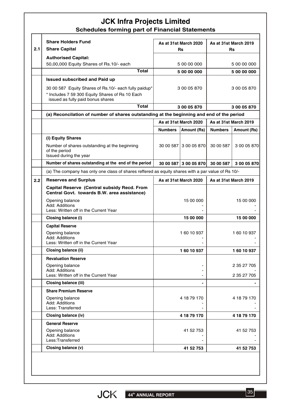## **JCK Infra Projects Limited Schedules forming part of Financial Statements**

| 2.1 | <b>Share Holders Fund</b><br><b>Share Capital</b>                                                                                             |                       | As at 31st March 2020<br>Rs |                       | As at 31st March 2019<br><b>Rs</b> |  |
|-----|-----------------------------------------------------------------------------------------------------------------------------------------------|-----------------------|-----------------------------|-----------------------|------------------------------------|--|
|     | <b>Authorised Capital:</b>                                                                                                                    |                       |                             |                       |                                    |  |
|     | 50,00,000 Equity Shares of Rs.10/- each                                                                                                       |                       | 5 00 00 000                 | 5 00 00 000           |                                    |  |
|     | Total                                                                                                                                         |                       | 5 00 00 000                 |                       | 5 00 00 000                        |  |
|     | <b>Issued subscribed and Paid up</b>                                                                                                          |                       |                             |                       |                                    |  |
|     | 30 00 587 Equity Shares of Rs.10/- each fully paidup*<br>* Includes 7 59 300 Equity Shares of Rs 10 Each<br>issued as fully paid bonus shares |                       | 3 00 05 870                 |                       | 3 00 05 870                        |  |
|     | <b>Total</b>                                                                                                                                  |                       | 3 00 05 870                 |                       | 3 00 05 870                        |  |
|     | (a) Reconcilation of number of shares outstanding at the beginning and end of the period                                                      |                       |                             |                       |                                    |  |
|     |                                                                                                                                               |                       | As at 31st March 2020       |                       | As at 31st March 2019              |  |
|     |                                                                                                                                               | <b>Numbers</b>        | Amount (Rs)                 | <b>Numbers</b>        | Amount (Rs)                        |  |
|     | (i) Equity Shares                                                                                                                             |                       |                             |                       |                                    |  |
|     | Number of shares outstanding at the beginning<br>of the period<br>Issued during the year                                                      | 30 00 587             | 3 00 05 870                 | 30 00 587             | 3 00 05 870                        |  |
|     | Number of shares outstanding at the end of the period                                                                                         |                       | 30 00 587 3 00 05 870       | 30 00 587             | 3 00 05 870                        |  |
|     | (a) The company has only one class of shares reffered as equity shares with a par value of Rs 10/-                                            |                       |                             |                       |                                    |  |
| 2.2 | <b>Reserves and Surplus</b>                                                                                                                   | As at 31st March 2020 |                             | As at 31st March 2019 |                                    |  |
|     | Capital Reserve (Central subsidy Recd. From<br>Central Govt. towards B.W. area assistance)                                                    |                       |                             |                       |                                    |  |
|     | Opening balance<br>Add: Additions<br>Less: Written off in the Current Year                                                                    |                       | 15 00 000                   |                       | 15 00 000                          |  |
|     | Closing balance (i)                                                                                                                           |                       | 15 00 000                   |                       | 15 00 000                          |  |
|     | <b>Capital Reserve</b>                                                                                                                        |                       |                             |                       |                                    |  |
|     | Opening balance<br>Add: Additions<br>Less: Written off in the Current Year                                                                    |                       | 160 10 937                  |                       | 160 10 937                         |  |
|     | Closing balance (ii)                                                                                                                          |                       | 160 10 937                  |                       | 160 10 937                         |  |
|     | <b>Revaluation Reserve</b>                                                                                                                    |                       |                             |                       |                                    |  |
|     | Opening balance<br>Add: Additions                                                                                                             |                       |                             |                       | 2 35 27 705                        |  |
|     | Less: Written off in the Current Year                                                                                                         |                       |                             |                       | 2 35 27 705                        |  |
|     | <b>Closing balance (iii)</b>                                                                                                                  |                       |                             |                       |                                    |  |
|     | <b>Share Premium Reserve</b><br>Opening balance<br>Add: Additions                                                                             |                       | 4 18 79 170                 |                       | 4 18 79 170                        |  |
|     | Less: Transferred                                                                                                                             |                       |                             |                       |                                    |  |
|     | Closing balance (iv)                                                                                                                          |                       | 4 18 79 170                 |                       | 4 18 79 170                        |  |
|     | <b>General Reserve</b><br>Opening balance<br>Add: Additions                                                                                   |                       | 41 52 753                   |                       | 41 52 753                          |  |
|     | Less:Transferred                                                                                                                              |                       |                             |                       |                                    |  |
|     | Closing balance (v)                                                                                                                           |                       | 41 52 753                   |                       | 41 52 753                          |  |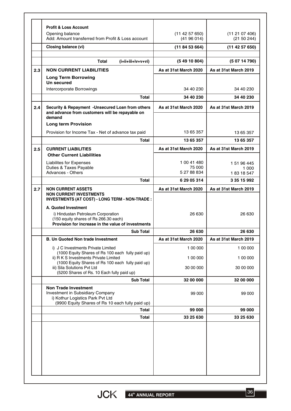|     | <b>Profit &amp; Loss Account</b>                                                                                                                          |                             |                                 |
|-----|-----------------------------------------------------------------------------------------------------------------------------------------------------------|-----------------------------|---------------------------------|
|     | Opening balance<br>Add: Amount transferred from Profit & Loss account                                                                                     | (11 42 57 650)<br>(4196014) | (11 21 07 406)<br>(21 50 244)   |
|     | Closing balance (vi)                                                                                                                                      | (118453664)                 | (11 42 57 650)                  |
|     | <b>Total</b><br>(i+ii+iii+iv+v+vi)                                                                                                                        | (54910804)                  | (50714790)                      |
| 2.3 | <b>NON CURRENT LIABILITIES</b>                                                                                                                            | As at 31st March 2020       | As at 31st March 2019           |
|     | <b>Long Term Borrowing</b>                                                                                                                                |                             |                                 |
|     | Un secured<br>Intercorporate Borrowings                                                                                                                   | 34 40 230                   | 34 40 230                       |
|     | <b>Total</b>                                                                                                                                              | 34 40 230                   | 34 40 230                       |
| 2.4 | Security & Repayment -Unsecured Loan from others<br>and advance from customers will be repayable on<br>demand                                             | As at 31st March 2020       | As at 31st March 2019           |
|     | <b>Long term Provision</b>                                                                                                                                |                             |                                 |
|     | Provision for Income Tax - Net of advance tax paid                                                                                                        | 13 65 357                   | 13 65 357                       |
|     | Total                                                                                                                                                     | 13 65 357                   | 13 65 357                       |
| 2.5 | <b>CURRENT LIABILITIES</b>                                                                                                                                | As at 31st March 2020       | As at 31st March 2019           |
|     | <b>Other Current Liabilities</b>                                                                                                                          |                             |                                 |
|     | <b>Liabilites for Expenses</b>                                                                                                                            | 1 00 41 480                 | 1 51 96 445                     |
|     | Duties & Taxes Payable<br>Advances - Others                                                                                                               | 75 000<br>5 27 88 834       | 1 0 0 0<br>183 18 547           |
|     | Total                                                                                                                                                     | 6 29 05 314                 | 3 35 15 992                     |
| 2.7 | <b>NON CURRENT ASSETS</b>                                                                                                                                 | As at 31st March 2020       | As at 31st March 2019           |
|     | <b>NON CURRENT INVESTMENTS</b><br><b>INVESTMENTS (AT COST) - LONG TERM - NON-TRADE:</b>                                                                   |                             |                                 |
|     | A. Quoted Investment<br>i) Hindustan Petroleum Corporation<br>(150 equity shares of Rs 266.30 each)<br>Provision for increase in the value of investments | 26 630                      | 26.630                          |
|     | <b>Sub Total</b>                                                                                                                                          | 26 630                      | 26 630                          |
|     | <b>B. Un Quoted Non trade Investment</b>                                                                                                                  | As at 31st March 2020       |                                 |
|     | i) J C Investments Private Limited                                                                                                                        | 1 00 000                    | As at 31st March 2019           |
|     | (1000 Equity Shares of Rs 100 each fully paid up)<br>ii) R K S Investments Private Limited                                                                | 1 00 000                    | 1 00 000                        |
|     | (1000 Equity Shares of Rs 100 each fully paid up)<br>iii) Sila Solutions Pvt Ltd<br>(5200 Shares of Rs. 10 Each fully paid up)                            | 30 00 000                   | 30 00 000                       |
|     | <b>Sub Total</b>                                                                                                                                          | 32 00 000                   |                                 |
|     | <b>Non Trade Investment</b><br>Investment in Subsidiary Company<br>i) Kothur Logistics Park Pvt Ltd<br>(9900 Equity Shares of Rs 10 each fully paid up)   | 99 000                      | 1 00 000<br>32 00 000<br>99 000 |
|     | Total                                                                                                                                                     | 99 000                      | 99 000                          |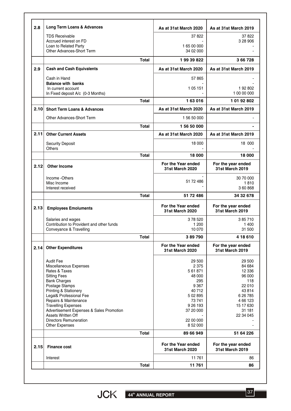| Interest                                                        |                                                                                                                                                                                                                                                                              | 11761                                        | 86                                                                                                                      |
|-----------------------------------------------------------------|------------------------------------------------------------------------------------------------------------------------------------------------------------------------------------------------------------------------------------------------------------------------------|----------------------------------------------|-------------------------------------------------------------------------------------------------------------------------|
| <b>Finance cost</b>                                             |                                                                                                                                                                                                                                                                              | For the Year ended<br><b>31st March 2020</b> | For the year ended<br><b>31st March 2019</b>                                                                            |
|                                                                 | <b>Total</b>                                                                                                                                                                                                                                                                 | 89 66 949                                    | 51 64 226                                                                                                               |
| <b>Directors Remuneration</b><br>Other Expenses                 |                                                                                                                                                                                                                                                                              | 22 00 000<br>8 52 000                        |                                                                                                                         |
| Assets Written Off                                              |                                                                                                                                                                                                                                                                              |                                              | 22 34 045                                                                                                               |
|                                                                 |                                                                                                                                                                                                                                                                              |                                              | 15 17 630<br>31 181                                                                                                     |
| Repairs & Maintenance                                           |                                                                                                                                                                                                                                                                              | 73741                                        | 4 66 123                                                                                                                |
| Legal& Professional Fee                                         |                                                                                                                                                                                                                                                                              | 5 02 8 95                                    | 6 26 7 85                                                                                                               |
|                                                                 |                                                                                                                                                                                                                                                                              | 40712                                        | 43814                                                                                                                   |
| <b>Bank Charges</b>                                             |                                                                                                                                                                                                                                                                              | 295                                          | 118<br>22 010                                                                                                           |
| <b>Sitting Fees</b>                                             |                                                                                                                                                                                                                                                                              | 48 000                                       | 96 000                                                                                                                  |
| Rates & Taxes                                                   |                                                                                                                                                                                                                                                                              | 5 61 871                                     | 12 3 36                                                                                                                 |
| <b>Audit Fee</b>                                                |                                                                                                                                                                                                                                                                              | 29 500                                       | 29 500<br>84 684                                                                                                        |
|                                                                 |                                                                                                                                                                                                                                                                              | <b>31st March 2020</b>                       | 31st March 2019                                                                                                         |
|                                                                 |                                                                                                                                                                                                                                                                              | For the Year ended                           | 4 18 6 10<br>For the year ended                                                                                         |
| Conveyance & Travelling                                         |                                                                                                                                                                                                                                                                              | 10 0 70                                      | 31 500                                                                                                                  |
| Salaries and wages<br>Contribution to Provident and other funds |                                                                                                                                                                                                                                                                              | 378520<br>1 200                              | 385710<br>1 400                                                                                                         |
| <b>Employees Emoluments</b>                                     |                                                                                                                                                                                                                                                                              | For the Year ended<br><b>31st March 2020</b> | For the year ended<br><b>31st March 2019</b>                                                                            |
|                                                                 | <b>Total</b>                                                                                                                                                                                                                                                                 | 51 72 486                                    | 34 32 678                                                                                                               |
| Interest received                                               |                                                                                                                                                                                                                                                                              |                                              | 360868                                                                                                                  |
| Income -Others<br>Misc Income                                   |                                                                                                                                                                                                                                                                              | 51 72 486                                    | 30 70 000<br>1810                                                                                                       |
| <b>Other Income</b>                                             |                                                                                                                                                                                                                                                                              | <b>31st March 2020</b>                       | For the year ended<br>31st March 2019                                                                                   |
|                                                                 | <b>Total</b>                                                                                                                                                                                                                                                                 | 18 000                                       | 18 000                                                                                                                  |
| <b>Others</b>                                                   |                                                                                                                                                                                                                                                                              |                                              | 18 000                                                                                                                  |
| <b>Other Current Assets</b>                                     |                                                                                                                                                                                                                                                                              | As at 31st March 2020                        | As at 31st March 2019                                                                                                   |
|                                                                 | <b>Total</b>                                                                                                                                                                                                                                                                 | 156 50 000                                   |                                                                                                                         |
| Other Advances-Short Term                                       |                                                                                                                                                                                                                                                                              | 1 56 50 000                                  |                                                                                                                         |
| <b>Short Term Loans &amp; Advances</b>                          |                                                                                                                                                                                                                                                                              | As at 31st March 2020                        | As at 31st March 2019                                                                                                   |
|                                                                 | <b>Total</b>                                                                                                                                                                                                                                                                 | 163016                                       | 1 01 92 802                                                                                                             |
| In current account                                              |                                                                                                                                                                                                                                                                              | 1 05 1 51                                    | 192802<br>1 00 00 000                                                                                                   |
| Cash in Hand<br><b>Balance with banks</b>                       |                                                                                                                                                                                                                                                                              | 57865                                        |                                                                                                                         |
|                                                                 |                                                                                                                                                                                                                                                                              |                                              | As at 31st March 2019                                                                                                   |
|                                                                 | <b>Total</b>                                                                                                                                                                                                                                                                 | 19939822                                     | 3 66 7 28                                                                                                               |
| Other Advances-Short Term                                       |                                                                                                                                                                                                                                                                              | 34 02 000                                    |                                                                                                                         |
| Loan to Related Party                                           |                                                                                                                                                                                                                                                                              | 165 00 000                                   |                                                                                                                         |
| Accrued interest on FD                                          |                                                                                                                                                                                                                                                                              |                                              | 3 28 906                                                                                                                |
|                                                                 | <b>Cash and Cash Equivalents</b><br>In Fixed deposit A/c (0-3 Months)<br><b>Security Deposit</b><br><b>Other Expenditures</b><br>Miscellaneous Expenses<br>Postage Stamps<br>Printing & Stationery<br><b>Travelling Expenses</b><br>Advertisement Expenses & Sales Promotion | Total<br><b>Total</b>                        | As at 31st March 2020<br>18 000<br>For the Year ended<br>389790<br>2 3 7 5<br>9 3 6 7<br>9 26 193<br>37 20 000<br>11761 |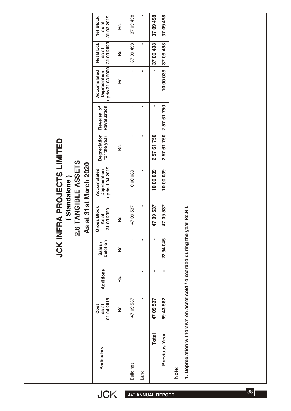|                                                                                      | 31.03.2019<br>Net Block<br>as at                | Rs. | 37 09 498        | $\blacksquare$ | 37 09 498                        | 37 09 498                            |                                                                                      |
|--------------------------------------------------------------------------------------|-------------------------------------------------|-----|------------------|----------------|----------------------------------|--------------------------------------|--------------------------------------------------------------------------------------|
|                                                                                      | 31.03.2020<br><b>Net Block</b><br>as at         | Rs. | 37 09 498        | ı,             | 37 09 498                        | 3709498                              |                                                                                      |
|                                                                                      | up to 31.03.2020<br>Accumulated<br>Depreciation | Rs. | $\mathbf{I}$     | $\mathbf I$    | J,                               | 1000039                              |                                                                                      |
|                                                                                      | Revaluation<br>Reversal of                      |     | $\mathbf{I}$     | $\mathbf I$    | I,                               | 750<br>67<br>257                     |                                                                                      |
|                                                                                      | Depreciation<br>for the year                    | Rs. | $\mathbf{I}$     | $\mathbf I$    | 61750<br>57<br>$\mathbf{\Omega}$ | 57 61 750<br>$\overline{\mathbf{N}}$ |                                                                                      |
| FRA PROJECTS LIMITED<br>2.6 TANGIBLE ASSETS<br>As at 31st March 2020<br>(Standalone) | up to 1.04.2019<br>Accumulated<br>Depreciation  |     | 1000039          | $\blacksquare$ | 1000039                          | 1000039                              |                                                                                      |
|                                                                                      | <b>Gross Block</b><br>As at<br>31.03.2020       | Rs. | 4709537          | $\blacksquare$ | 4709537                          | 4709537                              |                                                                                      |
| <b>JCK INI</b>                                                                       | <b>Deletion</b><br>Sales/                       | Rs. | $\mathbf{I}$     | $\mathbf{I}$   | ×,                               | 22 34 045                            |                                                                                      |
|                                                                                      | Additions                                       | Rs. | J.               | I.             | J,                               | J,                                   |                                                                                      |
|                                                                                      | as at<br>01.04.2019<br>Cost                     | Rs. | 4709537          | f,             | 47 09 537                        | 69 43 582                            |                                                                                      |
|                                                                                      | <b>Particulars</b>                              |     | <b>Buildings</b> | Land           | <b>Total</b>                     | Previous Year                        | 1. Depreciation withdrawn on asset sold / discarded during the year Rs.Nil.<br>Note: |

**thatable Adam ANNUAL REPORT** 

38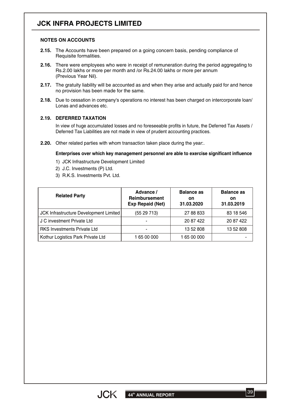# **JCK INFRA PROJECTS LIMITED**

#### **NOTES ON ACCOUNTS**

- **2.15.** The Accounts have been prepared on a going concern basis, pending compliance of Requisite formalities.
- **2.16.** There were employees who were in receipt of remuneration during the period aggregating to Rs.2.00 lakhs or more per month and /or Rs.24.00 lakhs or more per annum (Previous Year Nil).
- **2.17.** The gratuity liability will be accounted as and when they arise and actually paid for and hence no provision has been made for the same.
- **2.18.** Due to cessation in company's operations no interest has been charged on intercorporate loan/ Lonas and advances etc.

#### **2.19. DEFERRED TAXATION**

In view of huge accumulated losses and no foreseeable profits in future, the Deferred Tax Assets / Deferred Tax Liabilities are not made in view of prudent accounting practices.

**2.20.** Other related parties with whom transaction taken place during the year:.

#### **Enterprises over which key management personnel are able to exercise significant influence**

1) JCK Infrastructure Development Limited

- 2) J.C. Investments (P) Ltd.
- 3) R.K.S. Investments Pvt. Ltd.

| <b>Related Party</b>                   | Advance /<br>Reimbursement<br><b>Exp Repaid (Net)</b> | <b>Balance as</b><br>on<br>31.03.2020 | <b>Balance as</b><br>on<br>31.03.2019 |
|----------------------------------------|-------------------------------------------------------|---------------------------------------|---------------------------------------|
| JCK Infrastructure Development Limited | (5529713)                                             | 27 88 833                             | 83 18 546                             |
| J C investment Private Ltd             |                                                       | 20 87 422                             | 20 87 422                             |
| <b>RKS Investments Private Ltd</b>     |                                                       | 13 52 808                             | 13 52 808                             |
| Kothur Logistics Park Private Ltd      | 1 65 00 000                                           | 165 00 000                            |                                       |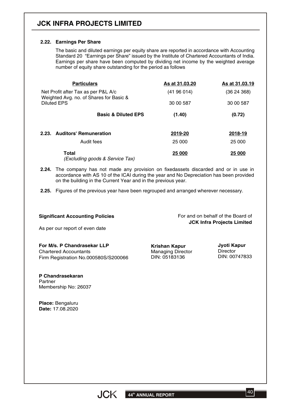# **JCK INFRA PROJECTS LIMITED**

#### **2.22. Earnings Per Share**

The basic and diluted earnings per equity share are reported in accordance with Accounting Standard 20 "Earnings per Share" issued by the Institute of Chartered Accountants of India. Earnings per share have been computed by dividing net income by the weighted average number of equity share outstanding for the period as follows

| <b>Particulars</b>                                                             | As at 31.03.20 | As at 31.03.19 |
|--------------------------------------------------------------------------------|----------------|----------------|
| Net Profit after Tax as per P&L A/c<br>Weighted Avg. no. of Shares for Basic & | (41 96 014)    | (3624368)      |
| Diluted EPS                                                                    | 30 00 587      | 30 00 587      |
| <b>Basic &amp; Diluted EPS</b>                                                 | (1.40)         | (0.72)         |
| 2.23. Auditors' Remuneration                                                   | 2019-20        | 2018-19        |
| Audit fees                                                                     | 25 000         | 25 000         |
| Total<br>(Excluding goods & Service Tax)                                       | 25 000         | 25 000         |

- **2.24.** The company has not made any provision on fixedassets discarded and or in use in accordance with AS 10 of the ICAI during the year and No Depreciation has been provided on the building in the Current Year and in the previous year.
- **2.25.** Figures of the previous year have been regrouped and arranged wherever necessary.

#### **Significant Accounting Policies**

For and on behalf of the Board of **JCK Infra Projects Limited**

As per our report of even date

**For M/s. P Chandrasekar LLP** Chartered Accountants Firm Registration No.000580S/S200066

**Krishan Kapur** Managing Director DIN: 05183136

**Jyoti Kapur Director** DIN: 00747833

**P Chandrasekaran** Partner Membership No: 26037

**Place:** Bengaluru **Date:** 17.08.2020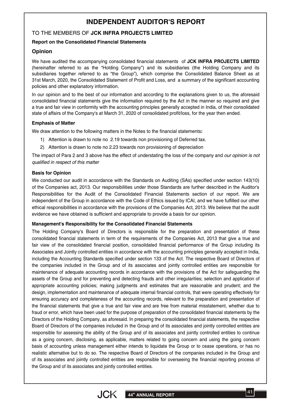## **INDEPENDENT AUDITOR'S REPORT**

#### TO THE MEMBERS OF **JCK INFRA PROJECTS LIMITED**

#### **Report on the Consolidated Financial Statements**

#### **Opinion**

We have audited the accompanying consolidated financial statements of **JCK INFRA PROJECTS LIMITED** (hereinafter referred to as the "Holding Company") and its subsidiaries (the Holding Company and its subsidiaries together referred to as "the Group"), which comprise the Consolidated Balance Sheet as at 31st March, 2020, the Consolidated Statement of Profit and Loss, and a summary of the significant accounting policies and other explanatory information.

In our opinion and to the best of our information and according to the explanations given to us, the aforesaid consolidated financial statements give the information required by the Act in the manner so required and give a true and fair view in conformity with the accounting principles generally accepted in India, of their consolidated state of affairs of the Company's at March 31, 2020 of consolidated profit/loss, for the year then ended.

#### **Emphasis of Matter**

We draw attention to the following matters in the Notes to the financial statements**:**

- 1) Attention is drawn to note no 2.19 towards non provisioning of Deferred tax.
- 2) Attention is drawn to note no 2.23 towards non provisioning of depreciation

The impact of Para 2 and 3 above has the effect of understating the loss of the company and *our opinion is not qualified in respect of this matter*

#### **Basis for Opinion**

We conducted our audit in accordance with the Standards on Auditing (SAs) specified under section 143(10) of the Companies act, 2013. Our responsibilities under those Standards are further described in the Auditor's Responsibilities for the Audit of the Consolidated Financial Statements section of our report. We are independent of the Group in accordance with the Code of Ethics issued by ICAI, and we have fulfilled our other ethical responsibilities in accordance with the provisions of the Companies Act, 2013. We believe that the audit evidence we have obtained is sufficient and appropriate to provide a basis for our opinion.

#### **Management's Responsibility for the Consolidated Financial Statements**

The Holding Company's Board of Directors is responsible for the preparation and presentation of these consolidated financial statements in term of the requirements of the Companies Act, 2013 that give a true and fair view of the consolidated financial position, consolidated financial performance of the Group including its Associates and Jointly controlled entities in accordance with the accounting principles generally accepted in India, including the Accounting Standards specified under section 133 of the Act. The respective Board of Directors of the companies included in the Group and of its associates and jointly controlled entities are responsible for maintenance of adequate accounting records in accordance with the provisions of the Act for safeguarding the assets of the Group and for preventing and detecting frauds and other irregularities; selection and application of appropriate accounting policies; making judgments and estimates that are reasonable and prudent; and the design, implementation and maintenance of adequate internal financial controls, that were operating effectively for ensuring accuracy and completeness of the accounting records, relevant to the preparation and presentation of the financial statements that give a true and fair view and are free from material misstatement, whether due to fraud or error, which have been used for the purpose of preparation of the consolidated financial statements by the Directors of the Holding Company, as aforesaid. In preparing the consolidated financial statements, the respective Board of Directors of the companies included in the Group and of its associates and jointly controlled entities are responsible for assessing the ability of the Group and of its associates and jointly controlled entities to continue as a going concern, disclosing, as applicable, matters related to going concern and using the going concern basis of accounting unless management either intends to liquidate the Group or to cease operations, or has no realistic alternative but to do so. The respective Board of Directors of the companies included in the Group and of its associates and jointly controlled entities are responsible for overseeing the financial reporting process of the Group and of its associates and jointly controlled entities.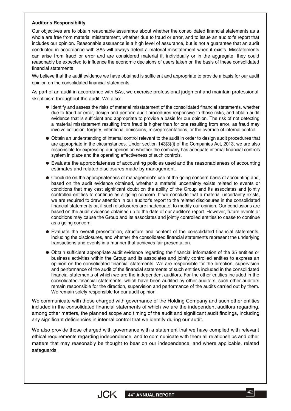#### **Auditor's Responsibility**

Our objectives are to obtain reasonable assurance about whether the consolidated financial statements as a whole are free from material misstatement, whether due to fraud or error, and to issue an auditor's report that includes our opinion. Reasonable assurance is a high level of assurance, but is not a guarantee that an audit conducted in accordance with SAs will always detect a material misstatement when it exists. Misstatements can arise from fraud or error and are considered material if, individually or in the aggregate, they could reasonably be expected to influence the economic decisions of users taken on the basis of these consolidated financial statements

We believe that the audit evidence we have obtained is sufficient and appropriate to provide a basis for our audit opinion on the consolidated financial statements.

As part of an audit in accordance with SAs, we exercise professional judgment and maintain professional skepticism throughout the audit. We also:

- Identify and assess the risks of material misstatement of the consolidated financial statements, whether due to fraud or error, design and perform audit procedures responsive to those risks, and obtain audit evidence that is sufficient and appropriate to provide a basis for our opinion. The risk of not detecting a material misstatement resulting from fraud is higher than for one resulting from error, as fraud may involve collusion, forgery, intentional omissions, misrepresentations, or the override of internal control
- Obtain an understanding of internal control relevant to the audit in order to design audit procedures that are appropriate in the circumstances. Under section 143(3)(i) of the Companies Act, 2013, we are also responsible for expressing our opinion on whether the company has adequate internal financial controls system in place and the operating effectiveness of such controls.
- Evaluate the appropriateness of accounting policies used and the reasonableness of accounting estimates and related disclosures made by management.
- Conclude on the appropriateness of management's use of the going concern basis of accounting and, based on the audit evidence obtained, whether a material uncertainty exists related to events or conditions that may cast significant doubt on the ability of the Group and its associates and jointly controlled entities to continue as a going concern. If we conclude that a material uncertainty exists, we are required to draw attention in our auditor's report to the related disclosures in the consolidated financial statements or, if such disclosures are inadequate, to modify our opinion. Our conclusions are based on the audit evidence obtained up to the date of our auditor's report. However, future events or conditions may cause the Group and its associates and jointly controlled entities to cease to continue as a going concern.
- Evaluate the overall presentation, structure and content of the consolidated financial statements, including the disclosures, and whether the consolidated financial statements represent the underlying transactions and events in a manner that achieves fair presentation.
- Obtain sufficient appropriate audit evidence regarding the financial information of the 35 entities or business activities within the Group and its associates and jointly controlled entities to express an opinion on the consolidated financial statements. We are responsible for the direction, supervision and performance of the audit of the financial statements of such entities included in the consolidated financial statements of which we are the independent auditors. For the other entities included in the consolidated financial statements, which have been audited by other auditors, such other auditors remain responsible for the direction, supervision and performance of the audits carried out by them. We remain solely responsible for our audit opinion.

We communicate with those charged with governance of the Holding Company and such other entities included in the consolidated financial statements of which we are the independent auditors regarding, among other matters, the planned scope and timing of the audit and significant audit findings, including any significant deficiencies in internal control that we identify during our audit.

We also provide those charged with governance with a statement that we have complied with relevant ethical requirements regarding independence, and to communicate with them all relationships and other matters that may reasonably be thought to bear on our independence, and where applicable, related safeguards.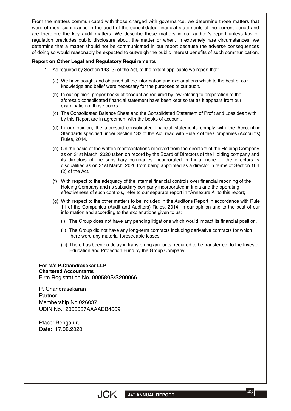From the matters communicated with those charged with governance, we determine those matters that were of most significance in the audit of the consolidated financial statements of the current period and are therefore the key audit matters. We describe these matters in our auditor's report unless law or regulation precludes public disclosure about the matter or when, in extremely rare circumstances, we determine that a matter should not be communicated in our report because the adverse consequences of doing so would reasonably be expected to outweigh the public interest benefits of such communication.

#### **Report on Other Legal and Regulatory Requirements**

- 1. As required by Section 143 (3) of the Act, to the extent applicable we report that:
	- We have sought and obtained all the information and explanations which to the best of our (a) knowledge and belief were necessary for the purposes of our audit.
	- (b) In our opinion, proper books of account as required by law relating to preparation of the aforesaid consolidated financial statement have been kept so far as it appears from our examination of those books.
	- The Consolidated Balance Sheet and the Consolidated Statement of Profit and Loss dealt with (c) by this Report are in agreement with the books of account.
	- (d) In our opinion, the aforesaid consolidated financial statements comply with the Accounting Standards specified under Section 133 of the Act, read with Rule 7 of the Companies (Accounts) Rules, 2014.
	- On the basis of the written representations received from the directors of the Holding Company (e) as on 31st March, 2020 taken on record by the Board of Directors of the Holding company and its directors of the subsidiary companies incorporated in India, none of the directors is disqualified as on 31st March, 2020 from being appointed as a director in terms of Section 164 (2) of the Act.
	- With respect to the adequacy of the internal financial controls over financial reporting of the (f) Holding Company and its subsidiary company incorporated in India and the operating effectiveness of such controls, refer to our separate report in "Annexure A" to this report;
	- With respect to the other matters to be included in the Auditor's Report in accordance with Rule (g) 11 of the Companies (Audit and Auditors) Rules, 2014, in our opinion and to the best of our information and according to the explanations given to us:
		- (i) The Group does not have any pending litigations which would impact its financial position.
		- The Group did not have any long-term contracts including derivative contracts for which (ii) there were any material foreseeable losses.
		- There has been no delay in transferring amounts, required to be transferred, to the Investor (iii) Education and Protection Fund by the Group Company.

#### **For M/s P.Chandrasekar LLP Chartered Accountants** Firm Registration No. 000580S/S200066

P. Chandrasekaran **Partner** Membership No.026037 UDIN No.: 2006037AAAAEB4009

Place: Bengaluru Date: 17.08.2020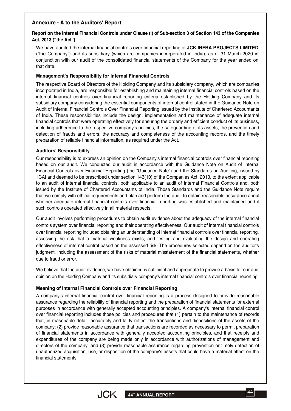#### **Annexure - A to the Auditors' Report**

#### Report on the Internal Financial Controls under Clause (i) of Sub-section 3 of Section 143 of the Companies **Act, 2013 ("the Act")**

We have audited the internal financial controls over financial reporting of **JCK INFRA PROJECTS LIMITED** ("the Company") and its subsidiary (which are companies incorporated in India), as of 31 March 2020 in conjunction with our audit of the consolidated financial statements of the Company for the year ended on that date.

#### **Management's Responsibility for Internal Financial Controls**

The respective Board of Directors of the Holding Company and its subsidiary company, which are companies incorporated in India, are responsible for establishing and maintaining internal financial controls based on the internal financial controls over financial reporting criteria established by the Holding Company and its subsidiary company considering the essential components of internal control stated in the Guidance Note on Audit of Internal Financial Controls Over Financial Reporting issued by the Institute of Chartered Accountants of India. These responsibilities include the design, implementation and maintenance of adequate internal financial controls that were operating effectively for ensuring the orderly and efficient conduct of its business, including adherence to the respective company's policies, the safeguarding of its assets, the prevention and detection of frauds and errors, the accuracy and completeness of the accounting records, and the timely preparation of reliable financial information, as required under the Act.

#### **Auditors' Responsibility**

Our responsibility is to express an opinion on the Company's internal financial controls over financial reporting based on our audit. We conducted our audit in accordance with the Guidance Note on Audit of Internal Financial Controls over Financial Reporting (the "Guidance Note") and the Standards on Auditing, issued by ICAI and deemed to be prescribed under section 143(10) of the Companies Act, 2013, to the extent applicable to an audit of internal financial controls, both applicable to an audit of Internal Financial Controls and, both issued by the Institute of Chartered Accountants of India. Those Standards and the Guidance Note require that we comply with ethical requirements and plan and perform the audit to obtain reasonable assurance about whether adequate internal financial controls over financial reporting was established and maintained and if such controls operated effectively in all material respects.

Our audit involves performing procedures to obtain audit evidence about the adequacy of the internal financial controls system over financial reporting and their operating effectiveness. Our audit of internal financial controls over financial reporting included obtaining an understanding of internal financial controls over financial reporting, assessing the risk that a material weakness exists, and testing and evaluating the design and operating effectiveness of internal control based on the assessed risk. The procedures selected depend on the auditor's judgment, including the assessment of the risks of material misstatement of the financial statements, whether due to fraud or error.

We believe that the audit evidence, we have obtained is sufficient and appropriate to provide a basis for our audit opinion on the Holding Company and its subsidiary company's internal financial controls over financial reporting

#### **Meaning of Internal Financial Controls over Financial Reporting**

A company's internal financial control over financial reporting is a process designed to provide reasonable assurance regarding the reliability of financial reporting and the preparation of financial statements for external purposes in accordance with generally accepted accounting principles. A company's internal financial control over financial reporting includes those policies and procedures that (1) pertain to the maintenance of records that, in reasonable detail, accurately and fairly reflect the transactions and dispositions of the assets of the company; (2) provide reasonable assurance that transactions are recorded as necessary to permit preparation of financial statements in accordance with generally accepted accounting principles, and that receipts and expenditures of the company are being made only in accordance with authorizations of management and directors of the company; and (3) provide reasonable assurance regarding prevention or timely detection of unauthorized acquisition, use, or disposition of the company's assets that could have a material effect on the financial statements.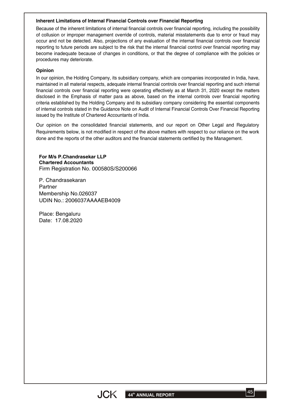#### **Inherent Limitations of Internal Financial Controls over Financial Reporting**

Because of the inherent limitations of internal financial controls over financial reporting, including the possibility of collusion or improper management override of controls, material misstatements due to error or fraud may occur and not be detected. Also, projections of any evaluation of the internal financial controls over financial reporting to future periods are subject to the risk that the internal financial control over financial reporting may become inadequate because of changes in conditions, or that the degree of compliance with the policies or procedures may deteriorate.

#### **Opinion**

In our opinion, the Holding Company, its subsidiary company, which are companies incorporated in India, have, maintained in all material respects, adequate internal financial controls over financial reporting and such internal financial controls over financial reporting were operating effectively as at March 31, 2020 except the matters disclosed in the Emphasis of matter para as above, based on the internal controls over financial reporting criteria established by the Holding Company and its subsidiary company considering the essential components of internal controls stated in the Guidance Note on Audit of Internal Financial Controls Over Financial Reporting issued by the Institute of Chartered Accountants of India.

Our opinion on the consolidated financial statements, and our report on Other Legal and Regulatory Requirements below, is not modified in respect of the above matters with respect to our reliance on the work done and the reports of the other auditors and the financial statements certified by the Management.

**For M/s P.Chandrasekar LLP Chartered Accountants** Firm Registration No. 000580S/S200066

P. Chandrasekaran Partner Membership No.026037 UDIN No.: 2006037AAAAEB4009

Place: Bengaluru Date: 17.08.2020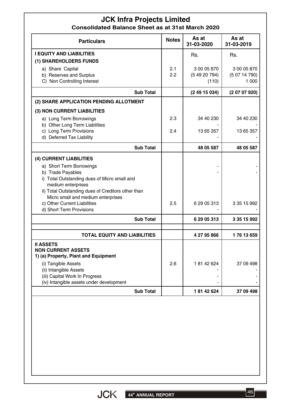## **JCK Infra Projects Limited Consolidated Balance Sheet as at 31st March 2020**

| <b>Particulars</b>                                                                                                                                   | <b>Notes</b> | As at<br>31-03-2020                | As at<br>31-03-2019                  |
|------------------------------------------------------------------------------------------------------------------------------------------------------|--------------|------------------------------------|--------------------------------------|
| <b>I EQUITY AND LIABILITIES</b><br>(1) SHAREHOLDERS FUNDS                                                                                            |              | Rs.                                | Rs.                                  |
| a) Share Capital<br>b) Reserves and Surplus<br>C) Non Controlling Interest                                                                           | 2.1<br>2.2   | 3 00 05 870<br>(54920794)<br>(110) | 3 00 05 870<br>(50714790)<br>1 0 0 0 |
| <b>Sub Total</b>                                                                                                                                     |              | (24915034)                         | (20707920)                           |
| (2) SHARE APPLICATION PENDING ALLOTMENT                                                                                                              |              |                                    |                                      |
| (3) NON CURRENT LIABILITIES                                                                                                                          |              |                                    |                                      |
| a) Long Term Borrowings<br>b) Other Long Term Liabilities                                                                                            | 2.3          | 34 40 230                          | 34 40 230                            |
| c) Long Term Provisions<br>d) Deferred Tax Liability                                                                                                 | 2.4          | 13 65 357                          | 13 65 357                            |
| <b>Sub Total</b>                                                                                                                                     |              | 48 05 587                          | 48 05 587                            |
| (4) CURRENT LIABILITIES                                                                                                                              |              |                                    |                                      |
| a) Short Term Borrowings<br>b) Trade Payables<br>i) Total Outstanding dues of Micro small and<br>medium enterprises                                  |              |                                    |                                      |
| ii) Total Outstanding dues of Creditors other than<br>Micro small and medium enterprises<br>c) Other Current Liabilities<br>d) Short Term Provisions | 2.5          | 6 29 05 313                        | 3 35 15 992                          |
| <b>Sub Total</b>                                                                                                                                     |              | 6 29 05 313                        | 3 35 15 992                          |
| <b>TOTAL EQUITY AND LIABILITIES</b>                                                                                                                  |              | 4 27 95 866                        | 176 13 659                           |
| <b>II ASSETS</b><br><b>NON CURRENT ASSETS</b><br>1) (a) Property, Plant and Equipment                                                                |              |                                    |                                      |
| (i) Tangible Assets<br>(ii) Intangible Assets<br>(iii) Capital Work In Progress                                                                      | 2.6          | 18142624                           | 37 09 498                            |
| (iv) Intangible assets under development                                                                                                             |              | 18142624                           | 37 09 498                            |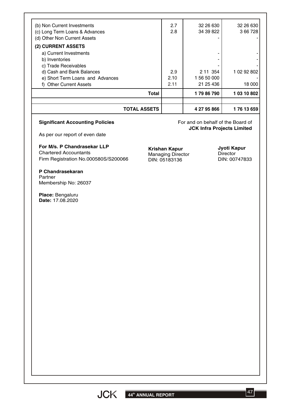| <b>TOTAL ASSETS</b>                    |      | 4 27 95 866 | 176 13 659  |
|----------------------------------------|------|-------------|-------------|
| <b>Total</b>                           |      | 179 86 790  | 1 03 10 802 |
| f) Other Current Assets                | 2.11 | 21 25 436   | 18 000      |
| e) Short Term Loans and Advances       | 2.10 | 1 56 50 000 |             |
| d) Cash and Bank Balances              | 2.9  | 2 11 3 54   | 1 02 92 802 |
| b) Inventories<br>c) Trade Receivables |      |             |             |
| a) Current Investments                 |      |             |             |
| (2) CURRENT ASSETS                     |      |             |             |
| (d) Other Non Current Assets           |      |             |             |
| (c) Long Term Loans & Advances         | 2.8  | 34 39 822   | 3 66 7 28   |
| (b) Non Current Investments            | 2.7  | 32 26 630   | 32 26 630   |

#### **Significant Accounting Policies**

For and on behalf of the Board of **JCK Infra Projects Limited**

As per our report of even date

**For M/s. P Chandrasekar LLP** Chartered Accountants Firm Registration No.000580S/S200066

**P Chandrasekaran**

Partner Membership No: 26037

**Place:** Bengaluru **Date:** 17.08.2020 **Krishan Kapur** Managing Director DIN: 05183136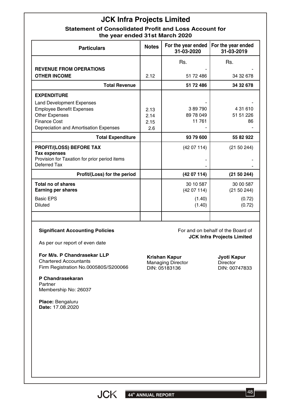# **JCK Infra Projects Limited**

## **Statement of Consolidated Profit and Loss Account for the year ended 31st March 2020**

| <b>Particulars</b>                                                                                                                                             | <b>Notes</b>                | For the year ended<br>31-03-2020 | For the year ended<br>31-03-2019                                |
|----------------------------------------------------------------------------------------------------------------------------------------------------------------|-----------------------------|----------------------------------|-----------------------------------------------------------------|
|                                                                                                                                                                |                             | Rs.                              | Rs.                                                             |
| <b>REVENUE FROM OPERATIONS</b><br><b>OTHER INCOME</b>                                                                                                          | 2.12                        | 51 72 486                        | 34 32 678                                                       |
| <b>Total Revenue</b>                                                                                                                                           |                             | 51 72 486                        | 34 32 678                                                       |
| <b>EXPENDITURE</b>                                                                                                                                             |                             |                                  |                                                                 |
| <b>Land Development Expenses</b><br><b>Employee Benefit Expenses</b><br><b>Other Expenses</b><br><b>Finance Cost</b><br>Depreciation and Amortisation Expenses | 2.13<br>2.14<br>2.15<br>2.6 | 389790<br>89 78 049<br>11 761    | 4 31 610<br>51 51 226<br>86                                     |
| <b>Total Expenditure</b>                                                                                                                                       |                             | 93 79 600                        | 55 82 922                                                       |
| <b>PROFIT/(LOSS) BEFORE TAX</b><br><b>Tax expenses</b><br>Provision for Taxation for prior period items<br>Deferred Tax                                        |                             | (4207114)                        | (21 50 244)                                                     |
| Profit/(Loss) for the period                                                                                                                                   |                             | (4207114)                        | (21 50 244)                                                     |
| <b>Total no of shares</b><br><b>Earning per shares</b>                                                                                                         |                             | 30 10 587<br>(4207114)           | 30 00 587<br>(21 50 244)                                        |
| <b>Basic EPS</b><br><b>Diluted</b>                                                                                                                             |                             | (1.40)<br>(1.40)                 | (0.72)<br>(0.72)                                                |
| <b>Significant Accounting Policies</b>                                                                                                                         |                             |                                  | For and on behalf of the Board of<br>ICK Infra Drojecte Limited |

As per our report of even date

**For M/s. P Chandrasekar LLP** Chartered Accountants Firm Registration No.000580S/S200066

**P Chandrasekaran** Partner Membership No: 26037

**Place:** Bengaluru **Date:** 17.08.2020 **JCK Infra Projects Limited**

**Krishan Kapur** Managing Director DIN: 05183136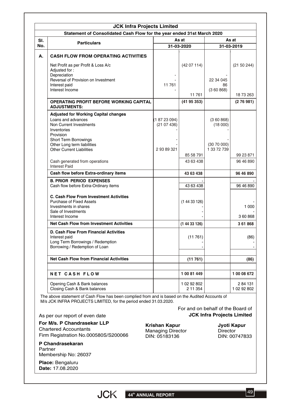|     | <b>JCK Infra Projects Limited</b><br>Statement of Consolidated Cash Flow for the year ended 31st March 2020                       |                         |                          |                          |                        |
|-----|-----------------------------------------------------------------------------------------------------------------------------------|-------------------------|--------------------------|--------------------------|------------------------|
| SI. |                                                                                                                                   |                         | As at                    |                          | As at                  |
| No. | <b>Particulars</b>                                                                                                                |                         | 31-03-2020               |                          | 31-03-2019             |
|     |                                                                                                                                   |                         |                          |                          |                        |
| А.  | <b>CASH FLOW FROM OPERATING ACTIVITIES</b>                                                                                        |                         |                          |                          |                        |
|     | Net Profit as per Profit & Loss A/c<br>Adjusted for:                                                                              |                         | (4207114)                |                          | (21 50 244)            |
|     | Depreciation<br>Reversal of Provision on Investment<br>Interest paid                                                              | 11 761                  |                          | 22 34 045<br>86          |                        |
|     | Interest Income                                                                                                                   |                         | 11761                    | (360868)                 | 18 73 263              |
|     | <b>OPERATING PROFIT BEFORE WORKING CAPITAL</b><br><b>ADJUSTMENTS:</b>                                                             |                         | (4195353)                |                          | (276981)               |
|     | <b>Adjusted for Working Capital changes</b>                                                                                       |                         |                          |                          |                        |
|     | Loans and advances<br>Non Current Investments<br>Inventories<br>Provision                                                         | (18723094)<br>(2107436) |                          | (360868)<br>(18000)      |                        |
|     | Short Term Borrowings<br>Other Long term liabilities<br><b>Other Current Liabilities</b>                                          | 2 93 89 321             |                          | (3070000)<br>1 33 72 739 |                        |
|     |                                                                                                                                   |                         | 85 58 791                |                          | 99 23 871              |
|     | Cash generated from operations<br><b>Interest Paid</b>                                                                            |                         | 43 63 438                |                          | 96 46 890              |
|     | Cash flow before Extra-ordinary items                                                                                             |                         | 43 63 438                |                          | 96 46 890              |
|     | <b>B. PRIOR PERIOD EXPENSES</b><br>Cash flow before Extra-Ordinary items                                                          |                         | 43 63 438                |                          | 96 46 890              |
|     | <b>C. Cash Flow From Investment Activities</b><br><b>Purchase of Fixed Assets</b><br>Investments in shares<br>Sale of Investments |                         | (14433126)               |                          | 1 0 0 0                |
|     | Interest Income                                                                                                                   |                         |                          |                          | 360868                 |
|     | <b>Net Cash Flow from Investment Activities</b>                                                                                   |                         | (14433126)               |                          | 361868                 |
|     | D. Cash Flow From Financial Activities<br>Interest paid<br>Long Term Borrowings / Redemption<br>Borrowing / Redemption of Loan    |                         | (11761)                  |                          | (86)                   |
|     | <b>Net Cash Flow from Financial Activities</b>                                                                                    |                         | (11761)                  |                          | (86)                   |
|     | <b>NET CASH FLOW</b>                                                                                                              |                         | 1 00 81 449              |                          | 1 00 08 672            |
|     | Opening Cash & Bank balances<br>Closing Cash & Bank balances                                                                      |                         | 1 02 92 802<br>2 11 3 54 |                          | 284 131<br>1 02 92 802 |

M/s JCK INFRA PROJECTS LIMITED, for the period ended 31.03.2020.

For and on behalf of the Board of **JCK Infra Projects Limited**

As per our report of even date

**For M/s. P Chandrasekar LLP** Chartered Accountants Firm Registration No.000580S/S200066

**P Chandrasekaran** Partner Membership No: 26037

**Place:** Bengaluru **Date:** 17.08.2020

**Krishan Kapur** Managing Director DIN: 05183136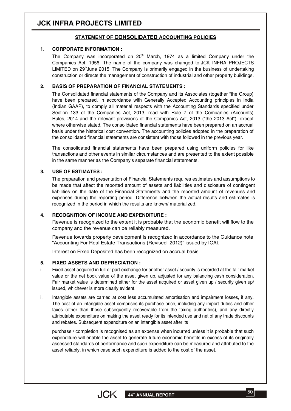# **JCK INFRA PROJECTS LIMITED**

#### **STATEMENT OF CONSOLIDATED ACCOUNTING POLICIES**

#### **1. CORPORATE INFORMATION :**

The Company was incorporated on  $20<sup>th</sup>$  March, 1974 as a limited Company under the Companies Act, 1956. The name of the company was changed to JCK INFRA PROJECTS LIMITED on  $29^{\circ}$ June 2015. The Company is primarily engaged in the business of undertaking construction or directs the management of construction of industrial and other property buildings.

#### **2. BASIS OF PREPARATION OF FINANCIAL STATEMENTS :**

The Consolidated financial statements of the Company and its Associates (together "the Group) have been prepared, in accordance with Generally Accepted Accounting principles in India (Indian GAAP), to comply all material respects with the Accounting Standards specified under Section 133 of the Companies Act, 2013, read with Rule 7 of the Companies (Accounts) Rules, 2014 and the relevant provisions of the Companies Act, 2013 ("the 2013 Act"), except where otherwise stated. The consolidated financial statements have been prepared on an accrual basis under the historical cost convention. The accounting policies adopted in the preparation of the consolidated financial statements are consistent with those followed in the previous year.

The consolidated financial statements have been prepared using uniform policies for like transactions and other events in similar circumstances and are presented to the extent possible in the same manner as the Company's separate financial statements.

#### **3. USE OF ESTIMATES :**

The preparation and presentation of Financial Statements requires estimates and assumptions to be made that affect the reported amount of assets and liabilities and disclosure of contingent liabilities on the date of the Financial Statements and the reported amount of revenues and expenses during the reporting period. Difference between the actual results and estimates is recognized in the period in which the results are known/ materialized.

#### **4. RECOGNITION OF INCOME AND EXPENDITURE :**

Revenue is recognized to the extent it is probable that the economic benefit will flow to the company and the revenue can be reliably measured.

Revenue towards property development is recognized in accordance to the Guidance note "Accounting For Real Estate Transactions (Revised- 2012)" issued by ICAI.

Interest on Fixed Deposited has been recognized on accrual basis

#### **5. FIXED ASSETS AND DEPRECIATION :**

- Fixed asset acquired in full or part exchange for another asset / security is recorded at the fair market value or the net book value of the asset given up, adjusted for any balancing cash consideration. Fair market value is determined either for the asset acquired or asset given up / security given up/ issued, whichever is more clearly evident. i.
- Intangible assets are carried at cost less accumulated amortisation and impairment losses, if any. The cost of an intangible asset comprises its purchase price, including any import duties and other taxes (other than those subsequently recoverable from the taxing authorities), and any directly attributable expenditure on making the asset ready for its intended use and net of any trade discounts and rebates. Subsequent expenditure on an intangible asset after its ii.

purchase / completion is recognised as an expense when incurred unless it is probable that such expenditure will enable the asset to generate future economic benefits in excess of its originally assessed standards of performance and such expenditure can be measured and attributed to the asset reliably, in which case such expenditure is added to the cost of the asset.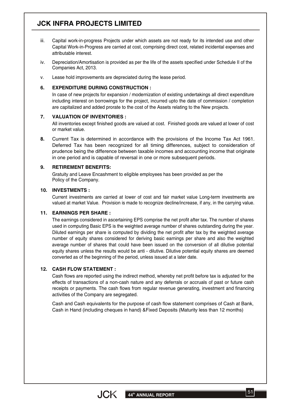# **JCK INFRA PROJECTS LIMITED**

- Capital work-in-progress Projects under which assets are not ready for its intended use and other Capital Work-in-Progress are carried at cost, comprising direct cost, related incidental expenses and attributable interest. iii.
- Depreciation/Amortisation is provided as per the life of the assets specified under Schedule II of the Companies Act, 2013. iv.
- Lease hold improvements are depreciated during the lease period. v.

#### **6. EXPENDITURE DURING CONSTRUCTION :**

In case of new projects for expansion / modernization of existing undertakings all direct expenditure including interest on borrowings for the project, incurred upto the date of commission / completion are capitalized and added prorate to the cost of the Assets relating to the New projects.

#### **7. VALUATION OF INVENTORIES :**

All inventories except finished goods are valued at cost. Finished goods are valued at lower of cost or market value.

**8.** Current Tax is determined in accordance with the provisions of the Income Tax Act 1961. Deferred Tax has been recognized for all timing differences, subject to consideration of prudence being the difference between taxable incomes and accounting income that originate in one period and is capable of reversal in one or more subsequent periods.

#### **9. RETIREMENT BENEFITS:**

Gratuity and Leave Encashment to eligible employees has been provided as per the Policy of the Company.

#### **10. INVESTMENTS :**

Current investments are carried at lower of cost and fair market value Long-term investments are valued at market Value. Provision is made to recognize decline/increase, if any, in the carrying value.

#### **11. EARNINGS PER SHARE :**

The earnings considered in ascertaining EPS comprise the net profit after tax. The number of shares used in computing Basic EPS is the weighted average number of shares outstanding during the year. Diluted earnings per share is computed by dividing the net profit after tax by the weighted average number of equity shares considered for deriving basic earnings per share and also the weighted average number of shares that could have been issued on the conversion of all dilutive potential equity shares unless the results would be anti - dilutive. Dilutive potential equity shares are deemed converted as of the beginning of the period, unless issued at a later date.

#### **12. CASH FLOW STATEMENT :**

Cash flows are reported using the indirect method, whereby net profit before tax is adjusted for the effects of transactions of a non-cash nature and any deferrals or accruals of past or future cash receipts or payments. The cash flows from regular revenue generating, investment and financing activities of the Company are segregated.

Cash and Cash equivalents for the purpose of cash flow statement comprises of Cash at Bank, Cash in Hand (including cheques in hand) &Fixed Deposits (Maturity less than 12 months)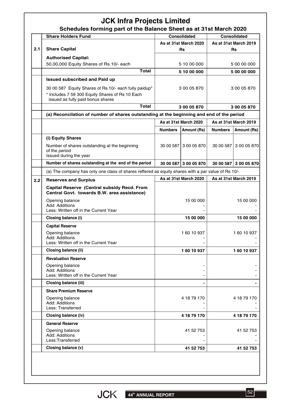# **JCK Infra Projects Limited**

|     | <b>Share Holders Fund</b>                                                                          |                       | <b>Consolidated</b>   |                       | <b>Consolidated</b>   |
|-----|----------------------------------------------------------------------------------------------------|-----------------------|-----------------------|-----------------------|-----------------------|
|     |                                                                                                    | As at 31st March 2020 |                       | As at 31st March 2019 |                       |
| 2.1 | <b>Share Capital</b>                                                                               |                       | <b>Rs</b>             |                       | <b>Rs</b>             |
|     | <b>Authorised Capital:</b>                                                                         |                       |                       |                       |                       |
|     | 50,00,000 Equity Shares of Rs.10/- each                                                            |                       | 5 10 00 000           |                       | 5 00 00 000           |
|     | <b>Total</b>                                                                                       |                       | 5 10 00 000           |                       | 5 00 00 000           |
|     | <b>Issued subscribed and Paid up</b>                                                               |                       |                       |                       |                       |
|     | 30 00 587 Equity Shares of Rs.10/- each fully paidup*                                              |                       | 3 00 05 870           |                       | 3 00 05 870           |
|     | * Includes 7 59 300 Equity Shares of Rs 10 Each<br>issued as fully paid bonus shares               |                       |                       |                       |                       |
|     | <b>Total</b>                                                                                       |                       | 3 00 05 870           |                       | 3 00 05 870           |
|     | (a) Reconcilation of number of shares outstanding at the beginning and end of the period           |                       |                       |                       |                       |
|     |                                                                                                    |                       | As at 31st March 2020 | As at 31st March 2019 |                       |
|     |                                                                                                    | <b>Numbers</b>        | <b>Amount (Rs)</b>    | <b>Numbers</b>        | Amount (Rs)           |
|     |                                                                                                    |                       |                       |                       |                       |
|     | (i) Equity Shares                                                                                  |                       | 30 00 587 3 00 05 870 |                       |                       |
|     | Number of shares outstanding at the beginning<br>of the period                                     |                       |                       |                       | 30 00 587 3 00 05 870 |
|     | Issued during the year                                                                             |                       |                       |                       |                       |
|     | Number of shares outstanding at the end of the period                                              |                       | 30 00 587 3 00 05 870 |                       | 30 00 587 3 00 05 870 |
|     | (a) The company has only one class of shares reffered as equity shares with a par value of Rs 10/- |                       |                       |                       |                       |
| 2.2 | <b>Reserves and Surplus</b>                                                                        |                       | As at 31st March 2020 |                       | As at 31st March 2019 |
|     | Capital Reserve (Central subsidy Recd. From<br>Central Govt. towards B.W. area assistance)         |                       |                       |                       |                       |
|     | Opening balance                                                                                    |                       | 15 00 000             |                       | 15 00 000             |
|     | Add: Additions<br>Less: Written off in the Current Year                                            |                       |                       |                       |                       |
|     | Closing balance (i)                                                                                |                       | 15 00 000             |                       | 15 00 000             |
|     | <b>Capital Reserve</b>                                                                             |                       |                       |                       |                       |
|     | Opening balance                                                                                    |                       | 160 10 937            |                       | 160 10 937            |
|     | Add: Additions                                                                                     |                       |                       |                       |                       |
|     | Less: Written off in the Current Year                                                              |                       |                       |                       |                       |
|     | Closing balance (ii)                                                                               |                       | 160 10 937            |                       | 160 10 937            |
|     | <b>Revaluation Reserve</b>                                                                         |                       |                       |                       |                       |
|     | Opening balance<br>Add: Additions                                                                  |                       |                       |                       |                       |
|     | Less: Written off in the Current Year                                                              |                       |                       |                       |                       |
|     | Closing balance (iii)                                                                              |                       |                       |                       |                       |
|     | <b>Share Premium Reserve</b>                                                                       |                       |                       |                       |                       |
|     | Opening balance                                                                                    |                       | 4 18 79 170           |                       | 4 18 79 170           |
|     | Add: Additions<br>Less: Transferred                                                                |                       |                       |                       |                       |
|     | Closing balance (iv)                                                                               |                       | 4 18 79 170           |                       | 4 18 79 170           |
|     |                                                                                                    |                       |                       |                       |                       |
|     | <b>General Reserve</b>                                                                             |                       |                       |                       |                       |
|     |                                                                                                    |                       | 41 52 753             |                       | 41 52 753             |
|     | Opening balance<br>Add: Additions                                                                  |                       |                       |                       |                       |
|     | Less:Transferred<br>Closing balance (v)                                                            |                       | 41 52 753             |                       | 41 52 753             |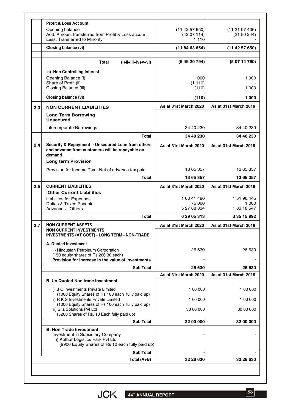|     | Total (A+B)                                                                                                                       | 32 26 630                       | 32 26 630                       |
|-----|-----------------------------------------------------------------------------------------------------------------------------------|---------------------------------|---------------------------------|
|     | (9900 Equity Shares of Rs 10 each fully paid up)<br><b>Sub Total</b>                                                              |                                 |                                 |
|     | <b>B. Non Trade Investment</b><br>Investment in Subsidiary Company<br>i) Kothur Logistics Park Pvt Ltd                            |                                 |                                 |
|     | <b>Sub Total</b>                                                                                                                  | 32 00 000                       | 32 00 000                       |
|     | iii) Sila Solutions Pvt Ltd<br>(5200 Shares of Rs. 10 Each fully paid up)                                                         | 30 00 000                       | 30 00 000                       |
|     | ii) R K S Investments Private Limited<br>(1000 Equity Shares of Rs 100 each fully paid up)                                        | 1 00 000                        | 1 00 000                        |
|     | i) J C Investments Private Limited<br>(1000 Equity Shares of Rs 100 each fully paid up)                                           | 1 00 000                        | 1 00 000                        |
|     | <b>B. Un Quoted Non trade Investment</b>                                                                                          |                                 |                                 |
|     | <b>Sub Total</b>                                                                                                                  | 26 630<br>As at 31st March 2020 | 26 630<br>As at 31st March 2019 |
|     | i) Hindustan Petroleum Corporation<br>(150 equity shares of Rs 266.30 each)<br>Provision for increase in the value of investments | 26 630                          | 26 630                          |
|     | INVESTMENTS (AT COST) - LONG TERM - NON-TRADE :<br>A. Quoted Investment                                                           |                                 |                                 |
| 2.7 | <b>NON CURRENT ASSETS</b><br><b>NON CURRENT INVESTMENTS</b>                                                                       | As at 31st March 2020           | As at 31st March 2019           |
|     | Total                                                                                                                             | 6 29 05 313                     | 3 35 15 992                     |
|     | Duties & Taxes Payable<br>Advances - Others                                                                                       | 75 000<br>5 27 88 834           | 1 000<br>183 18 547             |
|     | <b>Liabilites for Expenses</b>                                                                                                    | 1 00 41 480                     | 1 51 96 445                     |
| 2.5 | <b>CURRENT LIABILITIES</b><br><b>Other Current Liabilities</b>                                                                    | As at 31st March 2020           | As at 31st March 2019           |
|     | Total                                                                                                                             | 13 65 357                       | 13 65 357                       |
|     | Provision for Income Tax - Net of advance tax paid                                                                                | 13 65 357                       | 13 65 357                       |
|     | and advance from customers will be repayable on<br>demand<br><b>Long term Provision</b>                                           |                                 |                                 |
| 2.4 | Security & Repayment - Unsecured Loan from others                                                                                 | As at 31st March 2020           | As at 31st March 2019           |
|     | Total                                                                                                                             | 34 40 230                       | 34 40 230                       |
|     | <b>Long Term Borrowing</b><br><b>Unsecured</b><br>Intercorporate Borrowings                                                       | 34 40 230                       | 34 40 230                       |
| 2.3 | <b>NON CURRENT LIABILITIES</b>                                                                                                    | As at 31st March 2020           | As at 31st March 2019           |
|     | Closing balance (vi)                                                                                                              | (110)                           | 1 000                           |
|     | Share of Profit (ii)<br>Closing Balance (iii)                                                                                     | (1110)<br>(110)                 | 1 000                           |
|     | c) Non Controlling Interest<br>Opening Balance (i)                                                                                | 1 000                           | 1 000                           |
|     | Total<br>(i+ii+iii+iv+v+vi)                                                                                                       | (5 49 20 794)                   | (50714790)                      |
|     | Closing balance (vi)                                                                                                              | (118463654)                     | (11 42 57 650)                  |
|     | Add: Amount transferred from Profit & Loss account<br>Less: Transferred to Minority                                               | (4207114)<br>1 1 1 0            | (21 50 244)                     |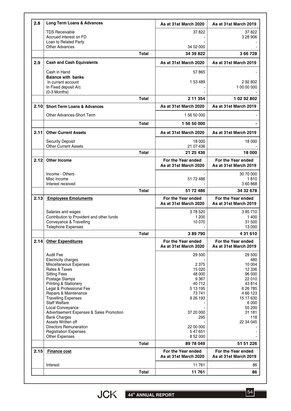| 2.8  | <b>Long Term Loans &amp; Advances</b>                |              | As at 31st March 2020                       | As at 31st March 2019                       |
|------|------------------------------------------------------|--------------|---------------------------------------------|---------------------------------------------|
|      | <b>TDS Receivable</b>                                |              | 37822                                       | 37822                                       |
|      | Accrued interest on FD                               |              |                                             | 3 28 906                                    |
|      | Loan to Related Party                                |              |                                             |                                             |
|      | <b>Other Advances</b>                                |              | 34 02 000                                   |                                             |
|      |                                                      | Total        | 34 39 822                                   | 366728                                      |
| 2.9  | <b>Cash and Cash Equivalents</b>                     |              | As at 31st March 2020                       | As at 31st March 2019                       |
|      | Cash in Hand                                         |              | 57865                                       |                                             |
|      | <b>Balance with banks</b><br>In current account      |              | 1 53 489                                    | 292802                                      |
|      | In Fixed deposit A/c<br>$(0-3$ Months)               |              |                                             | 1 00 00 000                                 |
|      |                                                      | <b>Total</b> | 2 11 3 54                                   | 1 02 92 802                                 |
| 2.10 | <b>Short Term Loans &amp; Advances</b>               |              | As at 31st March 2020                       | As at 31st March 2019                       |
|      | Other Advances-Short Term                            |              | 1 56 50 000                                 |                                             |
|      |                                                      | <b>Total</b> | 156 50 000                                  |                                             |
| 2.11 | <b>Other Current Assets</b>                          |              | As at 31st March 2020                       | As at 31st March 2019                       |
|      | <b>Security Deposit</b>                              |              | 18 000                                      | 18 000                                      |
|      | <b>Other Current Assets</b>                          |              | 21 07 436                                   |                                             |
|      |                                                      | Total        | 21 25 436                                   | 18 000                                      |
| 2.12 | <b>Other Income</b>                                  |              | For the Year ended<br>As at 31st March 2020 | For the Year ended<br>As at 31st March 2019 |
|      | Income - Others                                      |              |                                             | 30 70 000                                   |
|      | Misc Income<br>Interest received                     |              | 51 72 486                                   | 1810<br>360868                              |
|      |                                                      | <b>Total</b> | 51 72 486                                   | 34 32 678                                   |
| 2.13 | <b>Employees Emoluments</b>                          |              | For the Year ended<br>As at 31st March 2020 | For the Year ended<br>As at 31st March 2019 |
|      | Salaries and wages                                   |              | 378520                                      | 385710                                      |
|      | Contribution to Provident and other funds            |              | 1 200                                       | 1400                                        |
|      | Conveyance & Travelling<br><b>Telephone Expenses</b> |              | 10 070                                      | 31 500<br>13 000                            |
|      |                                                      | Total        | 389790                                      | 4 31 610                                    |
| 2.14 | <b>Other Expenditures</b>                            |              | For the Year ended<br>As at 31st March 2020 | For the Year ended<br>As at 31st March 2019 |
|      | <b>Audit Fee</b>                                     |              | 29 500                                      | 29 500                                      |
|      | Electricity charges                                  |              |                                             | 480                                         |
|      | Miscellaneous Expenses<br>Rates & Taxes              |              | 2 3 7 5<br>15 0 20                          | 10 004<br>12 3 36                           |
|      | <b>Sitting Fees</b>                                  |              | 48 000                                      | 96 000                                      |
|      | Postage Stamps                                       |              | 9 3 6 7                                     | 22 010                                      |
|      | <b>Printing &amp; Stationery</b>                     |              | 40 712                                      | 43814                                       |
|      | Legal & Professional Fee<br>Repairs & Maintenance    |              | 5 13 195<br>73 741                          | 6 26 7 85<br>4 66 123                       |
|      | <b>Travelling Expenses</b>                           |              | 9 26 1 93                                   | 15 17 630                                   |
|      | <b>Staff Welfare</b>                                 |              |                                             | 6 0 0 0                                     |
|      | Local Conveyance                                     |              |                                             | 55 200                                      |
|      | Advertisement Expenses & Sales Promotion             |              | 37 20 000                                   | 31 181                                      |
|      | <b>Bank Charges</b><br>Assets Written off            |              | 295                                         | 118<br>22 34 045                            |
|      | <b>Directors Remuneration</b>                        |              | 22 00 000                                   |                                             |
|      | <b>Registration Expenses</b>                         |              | 547651                                      |                                             |
|      | <b>Other Expenses</b>                                | <b>Total</b> | 8 52 000<br>89 78 049                       | 51 51 226                                   |
| 2.15 | <b>Finance cost</b>                                  |              | For the Year ended                          | For the Year ended                          |
|      |                                                      |              |                                             |                                             |
|      |                                                      |              | As at 31st March 2020                       | As at 31st March 2019                       |
|      | Interest                                             |              | 11761                                       | 86                                          |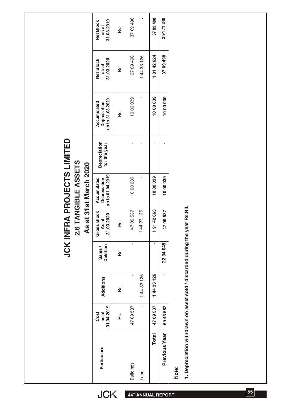| FRA PROJECTS LIMITED<br>2.6 TANGIBLE ASSETS<br>As at 31st March 2020<br>up to 01.04.2019<br>1000039<br>1000039<br>1000039<br>$\mathbf{I}$<br><b>Accumulated</b><br>Depreciation<br>1. Depreciation withdrawn on asset sold / discarded during the year Rs.Nil.<br>91 42 663<br>44 33 126<br><b>Gross Block</b><br>4709537<br>4709537<br>.03.2020<br>As at<br>Rs.<br>5<br>$\overline{\phantom{0}}$<br><b>JCK INI</b><br>$\overline{\phantom{0}}$<br>٠<br>$\mathbf{r}$<br>22 34 045<br><b>Deletion</b><br>Sales/<br>Rs.<br>$\blacksquare$<br>44 33 126<br>144 33 126<br>Additions<br>Rs.<br>$\overline{\phantom{0}}$<br>$\mathbf{I}$<br>01.04.2019<br>4709537<br>6943582<br>4709537<br>as at<br>Cost<br>Rs.<br>Previous Year<br><b>Total</b><br><b>Particulars</b><br><b>Buildings</b><br>Note:<br>Land | Depreciation<br>for the year<br>$\mathbf{I}$<br>T.<br>×<br>J. | 1000039<br>1000039<br>1000039<br>J.<br>up to 31.03.2020<br>Accumulated<br>Depreciation<br>Rs. | 81 42 624<br>37 09 498<br>37 09 498<br>14433126<br>31.03.2020<br><b>Net Block</b><br>as at<br>Rs.<br>$\overline{\phantom{0}}$ | ٠<br>37 09 498<br>37 09 498<br>29471248<br>31.03.2019<br><b>Net Block</b><br>as at<br>Rs. |
|-------------------------------------------------------------------------------------------------------------------------------------------------------------------------------------------------------------------------------------------------------------------------------------------------------------------------------------------------------------------------------------------------------------------------------------------------------------------------------------------------------------------------------------------------------------------------------------------------------------------------------------------------------------------------------------------------------------------------------------------------------------------------------------------------------|---------------------------------------------------------------|-----------------------------------------------------------------------------------------------|-------------------------------------------------------------------------------------------------------------------------------|-------------------------------------------------------------------------------------------|
|-------------------------------------------------------------------------------------------------------------------------------------------------------------------------------------------------------------------------------------------------------------------------------------------------------------------------------------------------------------------------------------------------------------------------------------------------------------------------------------------------------------------------------------------------------------------------------------------------------------------------------------------------------------------------------------------------------------------------------------------------------------------------------------------------------|---------------------------------------------------------------|-----------------------------------------------------------------------------------------------|-------------------------------------------------------------------------------------------------------------------------------|-------------------------------------------------------------------------------------------|

JCK 44<sup>th</sup> ANNUAL REPORT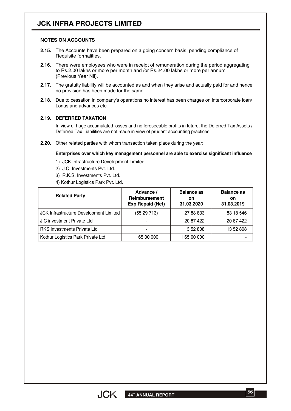# **JCK INFRA PROJECTS LIMITED**

#### **NOTES ON ACCOUNTS**

- **2.15.** The Accounts have been prepared on a going concern basis, pending compliance of Requisite formalities.
- **2.16.** There were employees who were in receipt of remuneration during the period aggregating to Rs.2.00 lakhs or more per month and /or Rs.24.00 lakhs or more per annum (Previous Year Nil).
- **2.17.** The gratuity liability will be accounted as and when they arise and actually paid for and hence no provision has been made for the same.
- **2.18.** Due to cessation in company's operations no interest has been charges on intercorporate loan/ Lonas and advances etc.

#### **2.19. DEFERRED TAXATION**

In view of huge accumulated losses and no foreseeable profits in future, the Deferred Tax Assets / Deferred Tax Liabilities are not made in view of prudent accounting practices.

**2.20.** Other related parties with whom transaction taken place during the year:.

#### **Enterprises over which key management personnel are able to exercise significant influence**

- 1) JCK Infrastructure Development Limited
- 2) J.C. Investments Pvt. Ltd.
- 3) R.K.S. Investments Pvt. Ltd.
- 4) Kothur Logistics Park Pvt. Ltd.

| <b>Related Party</b>                   | Advance /<br><b>Reimbursement</b><br><b>Exp Repaid (Net)</b> | <b>Balance as</b><br><b>on</b><br>31.03.2020 | <b>Balance as</b><br><b>on</b><br>31.03.2019 |
|----------------------------------------|--------------------------------------------------------------|----------------------------------------------|----------------------------------------------|
| JCK Infrastructure Development Limited | (5529713)                                                    | 27 88 833                                    | 83 18 546                                    |
| J C investment Private Ltd             |                                                              | 20 87 422                                    | 20 87 422                                    |
| <b>RKS Investments Private Ltd</b>     |                                                              | 13 52 808                                    | 13 52 808                                    |
| Kothur Logistics Park Private Ltd      | 1 65 00 000                                                  | 1 65 00 000                                  |                                              |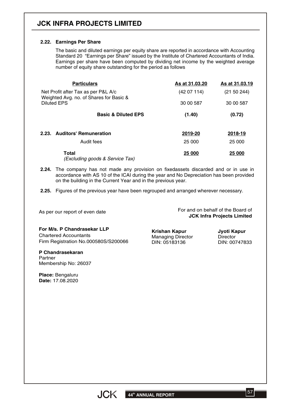# **JCK INFRA PROJECTS LIMITED**

#### **2.22. Earnings Per Share**

The basic and diluted earnings per equity share are reported in accordance with Accounting Standard 20 "Earnings per Share" issued by the Institute of Chartered Accountants of India. Earnings per share have been computed by dividing net income by the weighted average number of equity share outstanding for the period as follows

| <b>Particulars</b>                                                             | As at 31,03,20 | As at 31.03.19 |  |
|--------------------------------------------------------------------------------|----------------|----------------|--|
| Net Profit after Tax as per P&L A/c<br>Weighted Avg. no. of Shares for Basic & | (4207114)      | (21 50 244)    |  |
| Diluted EPS                                                                    | 30 00 587      | 30 00 587      |  |
| <b>Basic &amp; Diluted EPS</b>                                                 | (1.40)         | (0.72)         |  |
| 2.23. Auditors' Remuneration                                                   | 2019-20        | 2018-19        |  |
| Audit fees                                                                     | 25 000         | 25 000         |  |
| <b>Total</b><br>(Excluding goods & Service Tax)                                | 25 000         | 25 000         |  |

- **2.24.** The company has not made any provision on fixedassets discarded and or in use in accordance with AS 10 of the ICAI during the year and No Depreciation has been provided on the building in the Current Year and in the previous year.
- **2.25.** Figures of the previous year have been regrouped and arranged wherever necessary.

As per our report of even date

For and on behalf of the Board of **JCK Infra Projects Limited**

**For M/s. P Chandrasekar LLP** Chartered Accountants Firm Registration No.000580S/S200066

**P Chandrasekaran** Partner Membership No: 26037

**Place:** Bengaluru **Date:** 17.08.2020

**Krishan Kapur** Managing Director DIN: 05183136